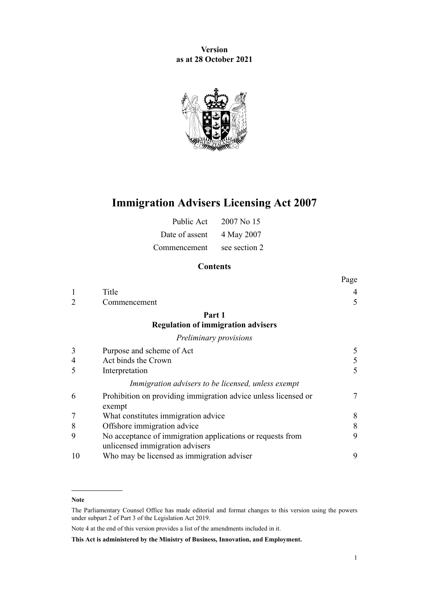**Version as at 28 October 2021**



# **Immigration Advisers Licensing Act 2007**

| Public Act     | 2007 No 15    |
|----------------|---------------|
| Date of assent | 4 May 2007    |
| Commencement   | see section 2 |

# **Contents**

#### **Note**

The Parliamentary Counsel Office has made editorial and format changes to this version using the powers under [subpart 2](http://legislation.govt.nz/pdflink.aspx?id=DLM7298371) of Part 3 of the Legislation Act 2019.

Note 4 at the end of this version provides a list of the amendments included in it.

**This Act is administered by the Ministry of Business, Innovation, and Employment.**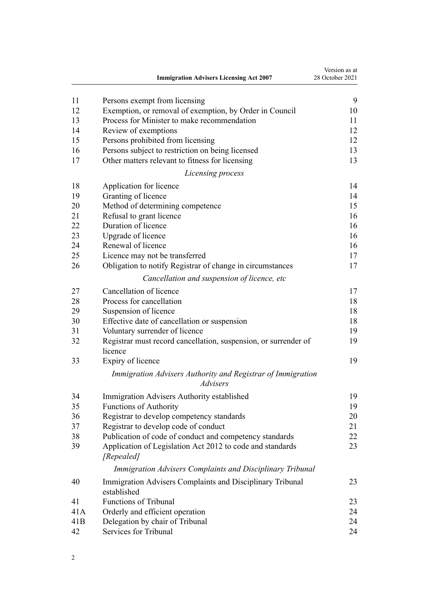|     | <b>Immigration Advisers Licensing Act 2007</b>                             | Version as at<br>28 October 2021 |
|-----|----------------------------------------------------------------------------|----------------------------------|
| 11  | Persons exempt from licensing                                              | 9                                |
| 12  | Exemption, or removal of exemption, by Order in Council                    | 10                               |
| 13  | Process for Minister to make recommendation                                | 11                               |
| 14  | Review of exemptions                                                       | 12                               |
| 15  | Persons prohibited from licensing                                          | 12                               |
| 16  | Persons subject to restriction on being licensed                           | 13                               |
| 17  | Other matters relevant to fitness for licensing                            | 13                               |
|     | Licensing process                                                          |                                  |
| 18  | Application for licence                                                    | 14                               |
| 19  | Granting of licence                                                        | 14                               |
| 20  | Method of determining competence                                           | 15                               |
| 21  | Refusal to grant licence                                                   | 16                               |
| 22  | Duration of licence                                                        | 16                               |
| 23  | Upgrade of licence                                                         | 16                               |
| 24  | Renewal of licence                                                         | 16                               |
| 25  | Licence may not be transferred                                             | 17                               |
| 26  | Obligation to notify Registrar of change in circumstances                  | 17                               |
|     | Cancellation and suspension of licence, etc                                |                                  |
| 27  | Cancellation of licence                                                    | 17                               |
| 28  | Process for cancellation                                                   | 18                               |
| 29  | Suspension of licence                                                      | 18                               |
| 30  | Effective date of cancellation or suspension                               | 18                               |
| 31  | Voluntary surrender of licence                                             | 19                               |
| 32  | Registrar must record cancellation, suspension, or surrender of<br>licence | 19                               |
| 33  | Expiry of licence                                                          | 19                               |
|     | Immigration Advisers Authority and Registrar of Immigration<br>Advisers    |                                  |
| 34  | Immigration Advisers Authority established                                 | 19                               |
| 35  | <b>Functions of Authority</b>                                              | 19                               |
| 36  | Registrar to develop competency standards                                  | 20                               |
| 37  | Registrar to develop code of conduct                                       | 21                               |
| 38  | Publication of code of conduct and competency standards                    | 22                               |
| 39  | Application of Legislation Act 2012 to code and standards<br>[Repealed]    | 23                               |
|     | Immigration Advisers Complaints and Disciplinary Tribunal                  |                                  |
| 40  | Immigration Advisers Complaints and Disciplinary Tribunal<br>established   | 23                               |
| 41  | <b>Functions of Tribunal</b>                                               | 23                               |
| 41A | Orderly and efficient operation                                            | 24                               |
| 41B | Delegation by chair of Tribunal                                            | 24                               |
| 42  | Services for Tribunal                                                      | 24                               |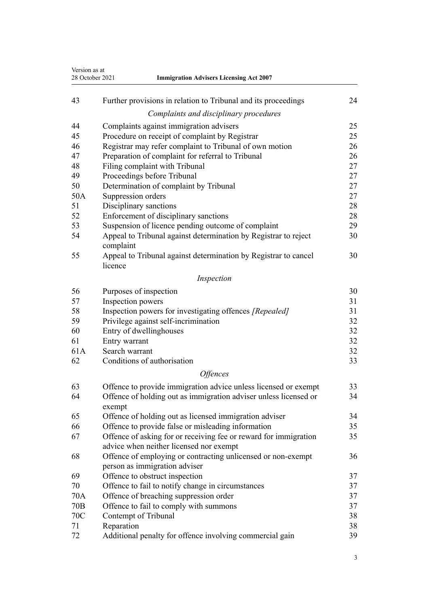| Version as at<br>28 October 2021<br><b>Immigration Advisers Licensing Act 2007</b> |                                                                                                             |    |
|------------------------------------------------------------------------------------|-------------------------------------------------------------------------------------------------------------|----|
| 43                                                                                 | Further provisions in relation to Tribunal and its proceedings                                              | 24 |
|                                                                                    | Complaints and disciplinary procedures                                                                      |    |
| 44                                                                                 | Complaints against immigration advisers                                                                     | 25 |
| 45                                                                                 | Procedure on receipt of complaint by Registrar                                                              | 25 |
| 46                                                                                 | Registrar may refer complaint to Tribunal of own motion                                                     | 26 |
| 47                                                                                 | Preparation of complaint for referral to Tribunal                                                           | 26 |
| 48                                                                                 | Filing complaint with Tribunal                                                                              | 27 |
| 49                                                                                 | Proceedings before Tribunal                                                                                 | 27 |
| 50                                                                                 | Determination of complaint by Tribunal                                                                      | 27 |
| 50A                                                                                | Suppression orders                                                                                          | 27 |
| 51                                                                                 | Disciplinary sanctions                                                                                      | 28 |
| 52                                                                                 | Enforcement of disciplinary sanctions                                                                       | 28 |
| 53                                                                                 | Suspension of licence pending outcome of complaint                                                          | 29 |
| 54                                                                                 | Appeal to Tribunal against determination by Registrar to reject<br>complaint                                | 30 |
| 55                                                                                 | Appeal to Tribunal against determination by Registrar to cancel<br>licence                                  | 30 |
|                                                                                    | Inspection                                                                                                  |    |
| 56                                                                                 | Purposes of inspection                                                                                      | 30 |
| 57                                                                                 | Inspection powers                                                                                           | 31 |
| 58                                                                                 | Inspection powers for investigating offences [Repealed]                                                     | 31 |
| 59                                                                                 | Privilege against self-incrimination                                                                        | 32 |
| 60                                                                                 | Entry of dwellinghouses                                                                                     | 32 |
| 61                                                                                 | Entry warrant                                                                                               | 32 |
| 61A                                                                                | Search warrant                                                                                              | 32 |
| 62                                                                                 | Conditions of authorisation                                                                                 | 33 |
|                                                                                    | <b>Offences</b>                                                                                             |    |
| 63                                                                                 | Offence to provide immigration advice unless licensed or exempt                                             | 33 |
| 64                                                                                 | Offence of holding out as immigration adviser unless licensed or<br>exempt                                  | 34 |
| 65                                                                                 | Offence of holding out as licensed immigration adviser                                                      | 34 |
| 66                                                                                 | Offence to provide false or misleading information                                                          | 35 |
| 67                                                                                 | Offence of asking for or receiving fee or reward for immigration<br>advice when neither licensed nor exempt | 35 |
| 68                                                                                 | Offence of employing or contracting unlicensed or non-exempt<br>person as immigration adviser               | 36 |
| 69                                                                                 | Offence to obstruct inspection                                                                              | 37 |
| 70                                                                                 | Offence to fail to notify change in circumstances                                                           | 37 |
| 70A                                                                                | Offence of breaching suppression order                                                                      | 37 |
| 70 <sub>B</sub>                                                                    | Offence to fail to comply with summons                                                                      | 37 |
| 70C                                                                                | Contempt of Tribunal                                                                                        | 38 |
| 71                                                                                 | Reparation                                                                                                  | 38 |
| 72                                                                                 | Additional penalty for offence involving commercial gain                                                    | 39 |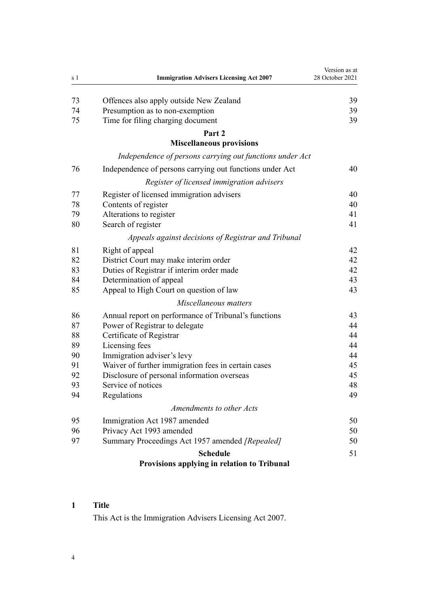<span id="page-3-0"></span>

| s 1 | <b>Immigration Advisers Licensing Act 2007</b>           | Version as at<br>28 October 2021 |
|-----|----------------------------------------------------------|----------------------------------|
|     |                                                          |                                  |
| 73  | Offences also apply outside New Zealand                  | 39                               |
| 74  | Presumption as to non-exemption                          | 39                               |
| 75  | Time for filing charging document                        | 39                               |
|     | Part 2<br><b>Miscellaneous provisions</b>                |                                  |
|     | Independence of persons carrying out functions under Act |                                  |
| 76  | Independence of persons carrying out functions under Act | 40                               |
|     | Register of licensed immigration advisers                |                                  |
| 77  | Register of licensed immigration advisers                | 40                               |
| 78  | Contents of register                                     | 40                               |
| 79  | Alterations to register                                  | 41                               |
| 80  | Search of register                                       | 41                               |
|     | Appeals against decisions of Registrar and Tribunal      |                                  |
| 81  | Right of appeal                                          | 42                               |
| 82  | District Court may make interim order                    | 42                               |
| 83  | Duties of Registrar if interim order made                | 42                               |
| 84  | Determination of appeal                                  | 43                               |
| 85  | Appeal to High Court on question of law                  | 43                               |
|     | Miscellaneous matters                                    |                                  |
| 86  | Annual report on performance of Tribunal's functions     | 43                               |
| 87  | Power of Registrar to delegate                           | 44                               |
| 88  | Certificate of Registrar                                 | 44                               |
| 89  | Licensing fees                                           | 44                               |
| 90  | Immigration adviser's levy                               | 44                               |
| 91  | Waiver of further immigration fees in certain cases      | 45                               |
| 92  | Disclosure of personal information overseas              | 45                               |
| 93  | Service of notices                                       | 48                               |
| 94  | Regulations                                              | 49                               |
|     | Amendments to other Acts                                 |                                  |
| 95  | Immigration Act 1987 amended                             | 50                               |
| 96  | Privacy Act 1993 amended                                 | 50                               |
| 97  | Summary Proceedings Act 1957 amended [Repealed]          | 50                               |
|     | <b>Schedule</b>                                          | 51                               |
|     | Provisions applying in relation to Tribunal              |                                  |

# **Title**

This Act is the Immigration Advisers Licensing Act 2007.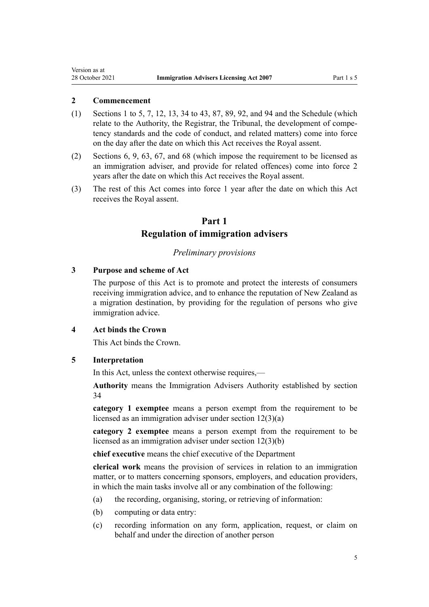#### **2 Commencement**

<span id="page-4-0"></span>Version as at

- (1) [Sections 1 to 5](#page-3-0), [7,](#page-7-0) [12](#page-9-0), [13,](#page-10-0) [34 to 43](#page-18-0), [87,](#page-43-0) [89](#page-43-0), [92,](#page-44-0) and [94](#page-48-0) and the [Schedule](#page-50-0) (which relate to the Authority, the Registrar, the Tribunal, the development of competency standards and the code of conduct, and related matters) come into force on the day after the date on which this Act receives the Royal assent.
- (2) [Sections 6,](#page-6-0) [9,](#page-8-0) [63](#page-32-0), [67](#page-34-0), and [68](#page-35-0) (which impose the requirement to be licensed as an immigration adviser, and provide for related offences) come into force 2 years after the date on which this Act receives the Royal assent.
- (3) The rest of this Act comes into force 1 year after the date on which this Act receives the Royal assent.

# **Part 1 Regulation of immigration advisers**

#### *Preliminary provisions*

#### **3 Purpose and scheme of Act**

The purpose of this Act is to promote and protect the interests of consumers receiving immigration advice, and to enhance the reputation of New Zealand as a migration destination, by providing for the regulation of persons who give immigration advice.

#### **4 Act binds the Crown**

This Act binds the Crown.

#### **5 Interpretation**

In this Act, unless the context otherwise requires,—

**Authority** means the Immigration Advisers Authority established by [section](#page-18-0) [34](#page-18-0)

**category 1 exemptee** means a person exempt from the requirement to be licensed as an immigration adviser under [section 12\(3\)\(a\)](#page-9-0)

**category 2 exemptee** means a person exempt from the requirement to be licensed as an immigration adviser under [section 12\(3\)\(b\)](#page-9-0)

**chief executive** means the chief executive of the Department

**clerical work** means the provision of services in relation to an immigration matter, or to matters concerning sponsors, employers, and education providers, in which the main tasks involve all or any combination of the following:

- (a) the recording, organising, storing, or retrieving of information:
- (b) computing or data entry:
- (c) recording information on any form, application, request, or claim on behalf and under the direction of another person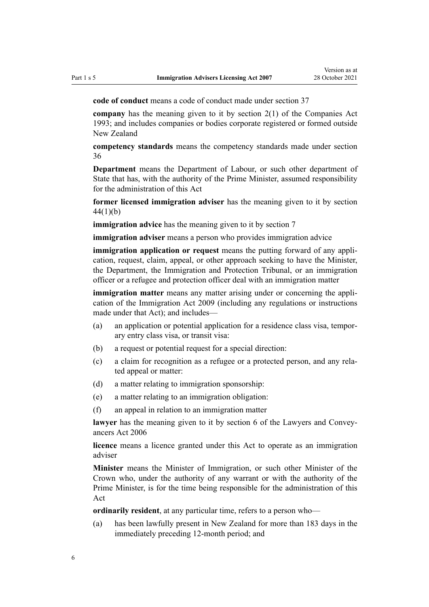**code of conduct** means a code of conduct made under [section 37](#page-20-0)

**company** has the meaning given to it by [section 2\(1\)](http://legislation.govt.nz/pdflink.aspx?id=DLM319576) of the Companies Act 1993; and includes companies or bodies corporate registered or formed outside New Zealand

**competency standards** means the competency standards made under [section](#page-19-0) [36](#page-19-0)

**Department** means the Department of Labour, or such other department of State that has, with the authority of the Prime Minister, assumed responsibility for the administration of this Act

**former licensed immigration adviser** has the meaning given to it by [section](#page-24-0) [44\(1\)\(b\)](#page-24-0)

**immigration advice** has the meaning given to it by [section 7](#page-7-0)

**immigration adviser** means a person who provides immigration advice

**immigration application or request** means the putting forward of any application, request, claim, appeal, or other approach seeking to have the Minister, the Department, the Immigration and Protection Tribunal, or an immigration officer or a refugee and protection officer deal with an immigration matter

**immigration matter** means any matter arising under or concerning the application of the [Immigration Act 2009](http://legislation.govt.nz/pdflink.aspx?id=DLM1440300) (including any regulations or instructions made under that Act); and includes—

- (a) an application or potential application for a residence class visa, tempor‐ ary entry class visa, or transit visa:
- (b) a request or potential request for a special direction:
- (c) a claim for recognition as a refugee or a protected person, and any rela‐ ted appeal or matter:
- (d) a matter relating to immigration sponsorship:
- (e) a matter relating to an immigration obligation:
- (f) an appeal in relation to an immigration matter

lawyer has the meaning given to it by [section 6](http://legislation.govt.nz/pdflink.aspx?id=DLM364948) of the Lawyers and Conveyancers Act 2006

**licence** means a licence granted under this Act to operate as an immigration adviser

**Minister** means the Minister of Immigration, or such other Minister of the Crown who, under the authority of any warrant or with the authority of the Prime Minister, is for the time being responsible for the administration of this Act

**ordinarily resident**, at any particular time, refers to a person who—

(a) has been lawfully present in New Zealand for more than 183 days in the immediately preceding 12-month period; and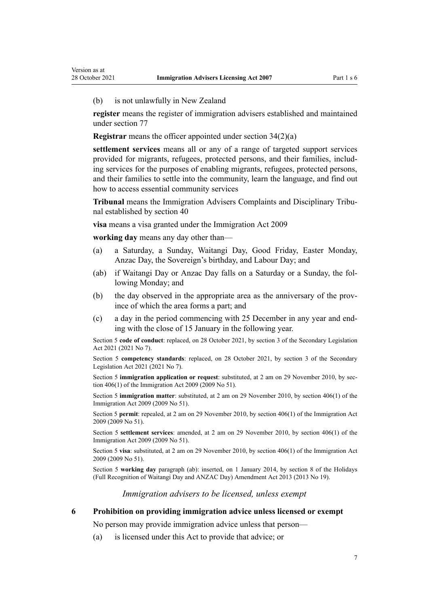<span id="page-6-0"></span>(b) is not unlawfully in New Zealand

**register** means the register of immigration advisers established and maintained under [section 77](#page-39-0)

**Registrar** means the officer appointed under [section 34\(2\)\(a\)](#page-18-0)

**settlement services** means all or any of a range of targeted support services provided for migrants, refugees, protected persons, and their families, includ‐ ing services for the purposes of enabling migrants, refugees, protected persons, and their families to settle into the community, learn the language, and find out how to access essential community services

**Tribunal** means the Immigration Advisers Complaints and Disciplinary Tribu‐ nal established by [section 40](#page-22-0)

**visa** means a visa granted under the [Immigration Act 2009](http://legislation.govt.nz/pdflink.aspx?id=DLM1440300)

**working day** means any day other than—

- (a) a Saturday, a Sunday, Waitangi Day, Good Friday, Easter Monday, Anzac Day, the Sovereign's birthday, and Labour Day; and
- (ab) if Waitangi Day or Anzac Day falls on a Saturday or a Sunday, the fol‐ lowing Monday; and
- (b) the day observed in the appropriate area as the anniversary of the province of which the area forms a part; and
- (c) a day in the period commencing with 25 December in any year and end‐ ing with the close of 15 January in the following year.

Section 5 **code of conduct**: replaced, on 28 October 2021, by [section 3](http://legislation.govt.nz/pdflink.aspx?id=LMS268932) of the Secondary Legislation Act 2021 (2021 No 7).

Section 5 **competency standards**: replaced, on 28 October 2021, by [section 3](http://legislation.govt.nz/pdflink.aspx?id=LMS268932) of the Secondary Legislation Act 2021 (2021 No 7).

Section 5 **immigration application or request**: substituted, at 2 am on 29 November 2010, by sec[tion 406\(1\)](http://legislation.govt.nz/pdflink.aspx?id=DLM1441347) of the Immigration Act 2009 (2009 No 51).

Section 5 **immigration matter**: substituted, at 2 am on 29 November 2010, by [section 406\(1\)](http://legislation.govt.nz/pdflink.aspx?id=DLM1441347) of the Immigration Act 2009 (2009 No 51).

Section 5 **permit**: repealed, at 2 am on 29 November 2010, by [section 406\(1\)](http://legislation.govt.nz/pdflink.aspx?id=DLM1441347) of the Immigration Act 2009 (2009 No 51).

Section 5 **settlement services**: amended, at 2 am on 29 November 2010, by [section 406\(1\)](http://legislation.govt.nz/pdflink.aspx?id=DLM1441347) of the Immigration Act 2009 (2009 No 51).

Section 5 **visa**: substituted, at 2 am on 29 November 2010, by [section 406\(1\)](http://legislation.govt.nz/pdflink.aspx?id=DLM1441347) of the Immigration Act 2009 (2009 No 51).

Section 5 **working day** paragraph (ab): inserted, on 1 January 2014, by [section 8](http://legislation.govt.nz/pdflink.aspx?id=DLM4929207) of the Holidays (Full Recognition of Waitangi Day and ANZAC Day) Amendment Act 2013 (2013 No 19).

*Immigration advisers to be licensed, unless exempt*

**6 Prohibition on providing immigration advice unless licensed or exempt**

No person may provide immigration advice unless that person—

(a) is licensed under this Act to provide that advice; or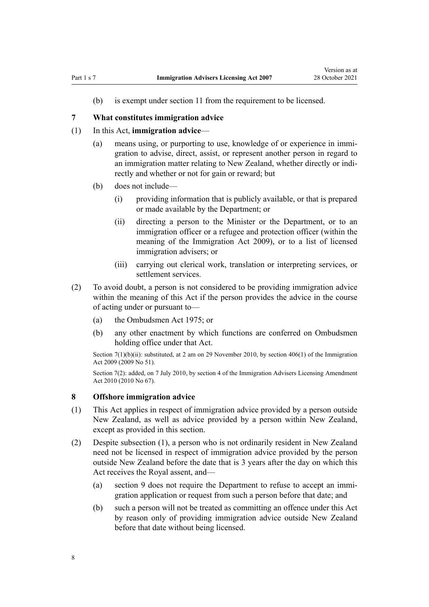<span id="page-7-0"></span>(b) is exempt under [section 11](#page-8-0) from the requirement to be licensed.

#### **7 What constitutes immigration advice**

### (1) In this Act, **immigration advice**—

- (a) means using, or purporting to use, knowledge of or experience in immi‐ gration to advise, direct, assist, or represent another person in regard to an immigration matter relating to New Zealand, whether directly or indirectly and whether or not for gain or reward; but
- (b) does not include—
	- (i) providing information that is publicly available, or that is prepared or made available by the Department; or
	- (ii) directing a person to the Minister or the Department, or to an immigration officer or a refugee and protection officer (within the meaning of the [Immigration Act 2009](http://legislation.govt.nz/pdflink.aspx?id=DLM1440300)), or to a list of licensed immigration advisers; or
	- (iii) carrying out clerical work, translation or interpreting services, or settlement services.
- (2) To avoid doubt, a person is not considered to be providing immigration advice within the meaning of this Act if the person provides the advice in the course of acting under or pursuant to—
	- (a) the [Ombudsmen Act 1975](http://legislation.govt.nz/pdflink.aspx?id=DLM430983); or
	- (b) any other enactment by which functions are conferred on Ombudsmen holding office under that Act.

Section  $7(1)(b)(ii)$ : substituted, at 2 am on 29 November 2010, by [section 406\(1\)](http://legislation.govt.nz/pdflink.aspx?id=DLM1441347) of the Immigration Act 2009 (2009 No 51).

Section 7(2): added, on 7 July 2010, by [section 4](http://legislation.govt.nz/pdflink.aspx?id=DLM3042305) of the Immigration Advisers Licensing Amendment Act 2010 (2010 No 67).

#### **8 Offshore immigration advice**

- (1) This Act applies in respect of immigration advice provided by a person outside New Zealand, as well as advice provided by a person within New Zealand, except as provided in this section.
- (2) Despite subsection (1), a person who is not ordinarily resident in New Zealand need not be licensed in respect of immigration advice provided by the person outside New Zealand before the date that is 3 years after the day on which this Act receives the Royal assent, and—
	- (a) [section 9](#page-8-0) does not require the Department to refuse to accept an immi‐ gration application or request from such a person before that date; and
	- (b) such a person will not be treated as committing an offence under this Act by reason only of providing immigration advice outside New Zealand before that date without being licensed.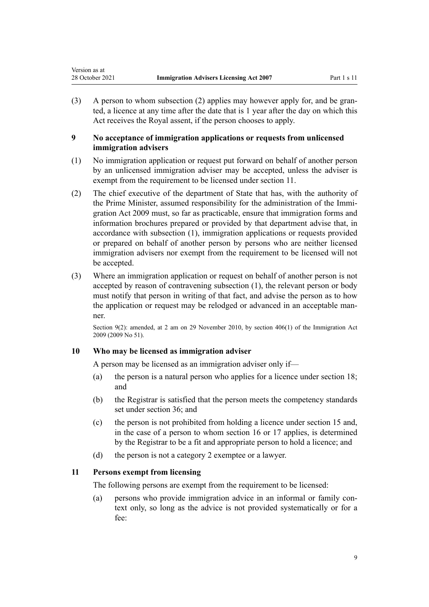<span id="page-8-0"></span>(3) A person to whom subsection (2) applies may however apply for, and be granted, a licence at any time after the date that is 1 year after the day on which this Act receives the Royal assent, if the person chooses to apply.

# **9 No acceptance of immigration applications or requests from unlicensed immigration advisers**

- (1) No immigration application or request put forward on behalf of another person by an unlicensed immigration adviser may be accepted, unless the adviser is exempt from the requirement to be licensed under section 11.
- (2) The chief executive of the department of State that has, with the authority of the Prime Minister, assumed responsibility for the administration of the Immi[gration Act 2009](http://legislation.govt.nz/pdflink.aspx?id=DLM1440300) must, so far as practicable, ensure that immigration forms and information brochures prepared or provided by that department advise that, in accordance with subsection (1), immigration applications or requests provided or prepared on behalf of another person by persons who are neither licensed immigration advisers nor exempt from the requirement to be licensed will not be accepted.
- (3) Where an immigration application or request on behalf of another person is not accepted by reason of contravening subsection (1), the relevant person or body must notify that person in writing of that fact, and advise the person as to how the application or request may be relodged or advanced in an acceptable manner.

Section 9(2): amended, at 2 am on 29 November 2010, by [section 406\(1\)](http://legislation.govt.nz/pdflink.aspx?id=DLM1441347) of the Immigration Act 2009 (2009 No 51).

# **10 Who may be licensed as immigration adviser**

A person may be licensed as an immigration adviser only if—

- (a) the person is a natural person who applies for a licence under [section 18;](#page-13-0) and
- (b) the Registrar is satisfied that the person meets the competency standards set under [section 36;](#page-19-0) and
- (c) the person is not prohibited from holding a licence under [section 15](#page-11-0) and, in the case of a person to whom [section 16](#page-12-0) or [17](#page-12-0) applies, is determined by the Registrar to be a fit and appropriate person to hold a licence; and
- (d) the person is not a category 2 exemptee or a lawyer.

# **11 Persons exempt from licensing**

The following persons are exempt from the requirement to be licensed:

(a) persons who provide immigration advice in an informal or family context only, so long as the advice is not provided systematically or for a fee: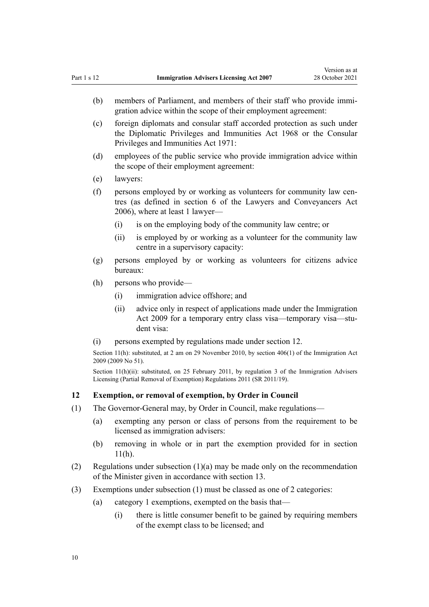- <span id="page-9-0"></span>(b) members of Parliament, and members of their staff who provide immigration advice within the scope of their employment agreement:
- (c) foreign diplomats and consular staff accorded protection as such under the [Diplomatic Privileges and Immunities Act 1968](http://legislation.govt.nz/pdflink.aspx?id=DLM387495) or the [Consular](http://legislation.govt.nz/pdflink.aspx?id=DLM397288) [Privileges and Immunities Act 1971](http://legislation.govt.nz/pdflink.aspx?id=DLM397288):
- (d) employees of the public service who provide immigration advice within the scope of their employment agreement:
- (e) lawyers:
- (f) persons employed by or working as volunteers for community law cen‐ tres (as defined in [section 6](http://legislation.govt.nz/pdflink.aspx?id=DLM364948) of the Lawyers and Conveyancers Act 2006), where at least 1 lawyer—
	- (i) is on the employing body of the community law centre; or
	- (ii) is employed by or working as a volunteer for the community law centre in a supervisory capacity:
- (g) persons employed by or working as volunteers for citizens advice bureaux:
- (h) persons who provide—
	- (i) immigration advice offshore; and
	- (ii) advice only in respect of applications made under the Immigration Act 2009 for a temporary entry class visa—temporary visa—student visa:
- (i) persons exempted by regulations made under section 12.

Section 11(h): substituted, at 2 am on 29 November 2010, by [section 406\(1\)](http://legislation.govt.nz/pdflink.aspx?id=DLM1441347) of the Immigration Act 2009 (2009 No 51).

Section 11(h)(ii): substituted, on 25 February 2011, by [regulation 3](http://legislation.govt.nz/pdflink.aspx?id=DLM3547906) of the Immigration Advisers Licensing (Partial Removal of Exemption) Regulations 2011 (SR 2011/19).

#### **12 Exemption, or removal of exemption, by Order in Council**

- (1) The Governor-General may, by Order in Council, make regulations—
	- (a) exempting any person or class of persons from the requirement to be licensed as immigration advisers:
	- (b) removing in whole or in part the exemption provided for in [section](#page-8-0)  $11(h)$ .
- (2) Regulations under subsection (1)(a) may be made only on the recommendation of the Minister given in accordance with [section 13.](#page-10-0)
- (3) Exemptions under subsection (1) must be classed as one of 2 categories:
	- (a) category 1 exemptions, exempted on the basis that—
		- (i) there is little consumer benefit to be gained by requiring members of the exempt class to be licensed; and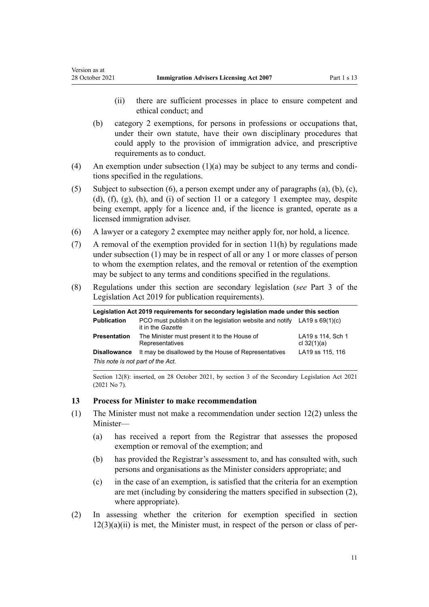<span id="page-10-0"></span>Version as at

- (ii) there are sufficient processes in place to ensure competent and ethical conduct; and
- (b) category 2 exemptions, for persons in professions or occupations that, under their own statute, have their own disciplinary procedures that could apply to the provision of immigration advice, and prescriptive requirements as to conduct.
- (4) An exemption under subsection  $(1)(a)$  may be subject to any terms and conditions specified in the regulations.
- (5) Subject to subsection (6), a person exempt under any of paragraphs (a), (b), (c), (d), (f), (g), (h), and (i) of [section 11](#page-8-0) or a category 1 exemptee may, despite being exempt, apply for a licence and, if the licence is granted, operate as a licensed immigration adviser.
- (6) A lawyer or a category 2 exemptee may neither apply for, nor hold, a licence.
- (7) A removal of the exemption provided for in [section 11\(h\)](#page-8-0) by regulations made under subsection (1) may be in respect of all or any 1 or more classes of person to whom the exemption relates, and the removal or retention of the exemption may be subject to any terms and conditions specified in the regulations.
- (8) Regulations under this section are secondary legislation (*see* [Part 3](http://legislation.govt.nz/pdflink.aspx?id=DLM7298343) of the Legislation Act 2019 for publication requirements).

| Legislation Act 2019 requirements for secondary legislation made under this section |                                                                                                  |                                    |
|-------------------------------------------------------------------------------------|--------------------------------------------------------------------------------------------------|------------------------------------|
| <b>Publication</b>                                                                  | PCO must publish it on the legislation website and notify LA19 s $69(1)(c)$<br>it in the Gazette |                                    |
| <b>Presentation</b>                                                                 | The Minister must present it to the House of<br>Representatives                                  | LA19 s 114, Sch 1<br>cl $32(1)(a)$ |
| <b>Disallowance</b>                                                                 | It may be disallowed by the House of Representatives                                             | LA19 ss 115, 116                   |
| This note is not part of the Act.                                                   |                                                                                                  |                                    |

Section 12(8): inserted, on 28 October 2021, by [section 3](http://legislation.govt.nz/pdflink.aspx?id=LMS268932) of the Secondary Legislation Act 2021 (2021 No 7).

#### **13 Process for Minister to make recommendation**

- (1) The Minister must not make a recommendation under [section 12\(2\)](#page-9-0) unless the Minister—
	- (a) has received a report from the Registrar that assesses the proposed exemption or removal of the exemption; and
	- (b) has provided the Registrar's assessment to, and has consulted with, such persons and organisations as the Minister considers appropriate; and
	- (c) in the case of an exemption, is satisfied that the criteria for an exemption are met (including by considering the matters specified in subsection (2), where appropriate).
- (2) In assessing whether the criterion for exemption specified in [section](#page-9-0)  $12(3)(a)(ii)$  is met, the Minister must, in respect of the person or class of per-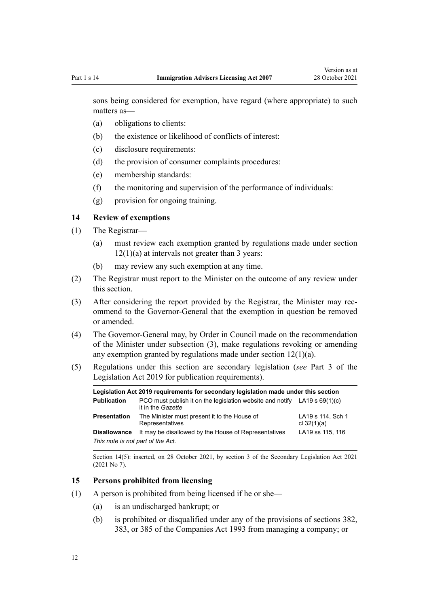<span id="page-11-0"></span>sons being considered for exemption, have regard (where appropriate) to such matters as—

- (a) obligations to clients:
- (b) the existence or likelihood of conflicts of interest:
- (c) disclosure requirements:
- (d) the provision of consumer complaints procedures:
- (e) membership standards:
- (f) the monitoring and supervision of the performance of individuals:
- (g) provision for ongoing training.

# **14 Review of exemptions**

- (1) The Registrar—
	- (a) must review each exemption granted by regulations made under [section](#page-9-0)  $12(1)(a)$  at intervals not greater than 3 years:
	- (b) may review any such exemption at any time.
- (2) The Registrar must report to the Minister on the outcome of any review under this section.
- (3) After considering the report provided by the Registrar, the Minister may recommend to the Governor-General that the exemption in question be removed or amended.
- (4) The Governor-General may, by Order in Council made on the recommendation of the Minister under subsection (3), make regulations revoking or amending any exemption granted by regulations made under [section 12\(1\)\(a\).](#page-9-0)
- (5) Regulations under this section are secondary legislation (*see* [Part 3](http://legislation.govt.nz/pdflink.aspx?id=DLM7298343) of the Legislation Act 2019 for publication requirements).

| Legislation Act 2019 requirements for secondary legislation made under this section |                                                                                                  |                                    |
|-------------------------------------------------------------------------------------|--------------------------------------------------------------------------------------------------|------------------------------------|
| <b>Publication</b>                                                                  | PCO must publish it on the legislation website and notify LA19 s $69(1)(c)$<br>it in the Gazette |                                    |
| <b>Presentation</b>                                                                 | The Minister must present it to the House of<br>Representatives                                  | LA19 s 114, Sch 1<br>cl $32(1)(a)$ |
| <b>Disallowance</b>                                                                 | It may be disallowed by the House of Representatives                                             | LA19 ss 115, 116                   |
| This note is not part of the Act.                                                   |                                                                                                  |                                    |

Section 14(5): inserted, on 28 October 2021, by [section 3](http://legislation.govt.nz/pdflink.aspx?id=LMS268932) of the Secondary Legislation Act 2021 (2021 No 7).

#### **15 Persons prohibited from licensing**

- (1) A person is prohibited from being licensed if he or she—
	- (a) is an undischarged bankrupt; or
	- (b) is prohibited or disqualified under any of the provisions of [sections 382](http://legislation.govt.nz/pdflink.aspx?id=DLM323249), [383](http://legislation.govt.nz/pdflink.aspx?id=DLM323252), or [385](http://legislation.govt.nz/pdflink.aspx?id=DLM323259) of the Companies Act 1993 from managing a company; or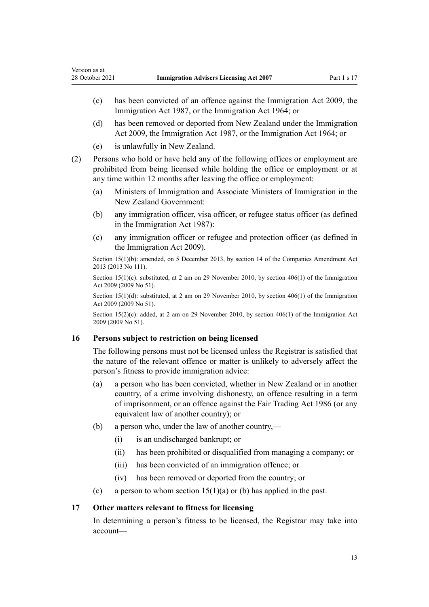- <span id="page-12-0"></span>(c) has been convicted of an offence against the [Immigration Act 2009,](http://legislation.govt.nz/pdflink.aspx?id=DLM1440300) the [Immigration Act 1987](http://legislation.govt.nz/pdflink.aspx?id=DLM108017), or the Immigration Act 1964; or
- (d) has been removed or deported from New Zealand under the [Immigration](http://legislation.govt.nz/pdflink.aspx?id=DLM1440300) [Act 2009,](http://legislation.govt.nz/pdflink.aspx?id=DLM1440300) the [Immigration Act 1987](http://legislation.govt.nz/pdflink.aspx?id=DLM108017), or the Immigration Act 1964; or
- (e) is unlawfully in New Zealand.
- (2) Persons who hold or have held any of the following offices or employment are prohibited from being licensed while holding the office or employment or at any time within 12 months after leaving the office or employment:
	- (a) Ministers of Immigration and Associate Ministers of Immigration in the New Zealand Government:
	- (b) any immigration officer, visa officer, or refugee status officer (as defined in the [Immigration Act 1987\)](http://legislation.govt.nz/pdflink.aspx?id=DLM108017):
	- (c) any immigration officer or refugee and protection officer (as defined in the [Immigration Act 2009\)](http://legislation.govt.nz/pdflink.aspx?id=DLM1440300).

Section 15(1)(b): amended, on 5 December 2013, by [section 14](http://legislation.govt.nz/pdflink.aspx?id=DLM5620822) of the Companies Amendment Act 2013 (2013 No 111).

Section 15(1)(c): substituted, at 2 am on 29 November 2010, by [section 406\(1\)](http://legislation.govt.nz/pdflink.aspx?id=DLM1441347) of the Immigration Act 2009 (2009 No 51).

Section 15(1)(d): substituted, at 2 am on 29 November 2010, by [section 406\(1\)](http://legislation.govt.nz/pdflink.aspx?id=DLM1441347) of the Immigration Act 2009 (2009 No 51).

Section 15(2)(c): added, at 2 am on 29 November 2010, by [section 406\(1\)](http://legislation.govt.nz/pdflink.aspx?id=DLM1441347) of the Immigration Act 2009 (2009 No 51).

#### **16 Persons subject to restriction on being licensed**

The following persons must not be licensed unless the Registrar is satisfied that the nature of the relevant offence or matter is unlikely to adversely affect the person's fitness to provide immigration advice:

- (a) a person who has been convicted, whether in New Zealand or in another country, of a crime involving dishonesty, an offence resulting in a term of imprisonment, or an offence against the [Fair Trading Act 1986](http://legislation.govt.nz/pdflink.aspx?id=DLM96438) (or any equivalent law of another country); or
- (b) a person who, under the law of another country,—
	- (i) is an undischarged bankrupt; or
	- (ii) has been prohibited or disqualified from managing a company; or
	- (iii) has been convicted of an immigration offence; or
	- (iv) has been removed or deported from the country; or
- (c) a person to whom section  $15(1)(a)$  or (b) has applied in the past.

#### **17 Other matters relevant to fitness for licensing**

In determining a person's fitness to be licensed, the Registrar may take into account—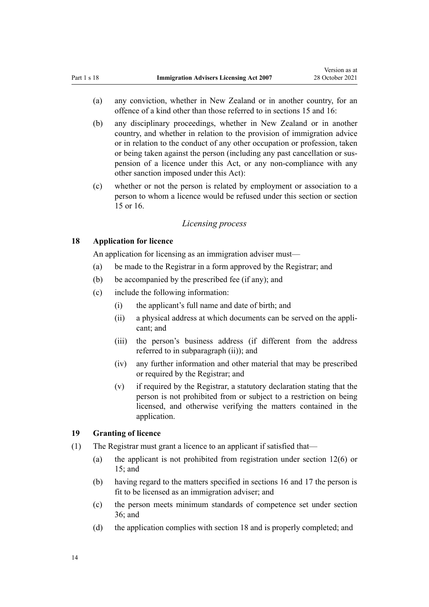- <span id="page-13-0"></span>(a) any conviction, whether in New Zealand or in another country, for an offence of a kind other than those referred to in [sections 15](#page-11-0) and [16:](#page-12-0)
- (b) any disciplinary proceedings, whether in New Zealand or in another country, and whether in relation to the provision of immigration advice or in relation to the conduct of any other occupation or profession, taken or being taken against the person (including any past cancellation or sus‐ pension of a licence under this Act, or any non-compliance with any other sanction imposed under this Act):
- (c) whether or not the person is related by employment or association to a person to whom a licence would be refused under this section or [section](#page-11-0) [15](#page-11-0) or [16.](#page-12-0)

#### *Licensing process*

# **18 Application for licence**

An application for licensing as an immigration adviser must—

- (a) be made to the Registrar in a form approved by the Registrar; and
- (b) be accompanied by the prescribed fee (if any); and
- (c) include the following information:
	- (i) the applicant's full name and date of birth; and
	- (ii) a physical address at which documents can be served on the appli‐ cant; and
	- (iii) the person's business address (if different from the address referred to in subparagraph (ii)); and
	- (iv) any further information and other material that may be prescribed or required by the Registrar; and
	- (v) if required by the Registrar, a statutory declaration stating that the person is not prohibited from or subject to a restriction on being licensed, and otherwise verifying the matters contained in the application.

#### **19 Granting of licence**

- (1) The Registrar must grant a licence to an applicant if satisfied that—
	- (a) the applicant is not prohibited from registration under [section 12\(6\)](#page-9-0) or [15;](#page-11-0) and
	- (b) having regard to the matters specified in [sections 16](#page-12-0) and [17](#page-12-0) the person is fit to be licensed as an immigration adviser; and
	- (c) the person meets minimum standards of competence set under [section](#page-19-0) [36;](#page-19-0) and
	- (d) the application complies with section 18 and is properly completed; and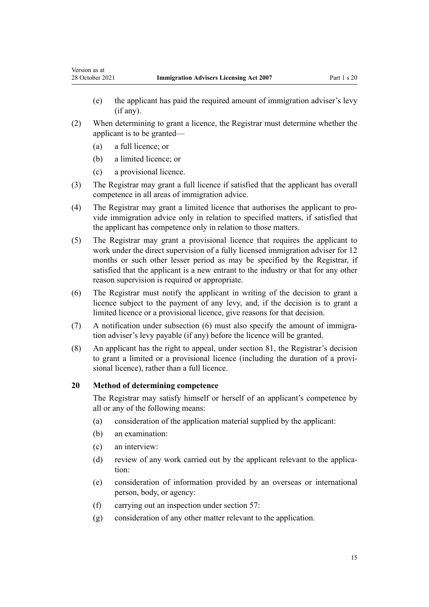- <span id="page-14-0"></span>(e) the applicant has paid the required amount of immigration adviser's levy (if any).
- (2) When determining to grant a licence, the Registrar must determine whether the applicant is to be granted—
	- (a) a full licence; or
	- (b) a limited licence; or
	- (c) a provisional licence.
- (3) The Registrar may grant a full licence if satisfied that the applicant has overall competence in all areas of immigration advice.
- (4) The Registrar may grant a limited licence that authorises the applicant to pro‐ vide immigration advice only in relation to specified matters, if satisfied that the applicant has competence only in relation to those matters.
- (5) The Registrar may grant a provisional licence that requires the applicant to work under the direct supervision of a fully licensed immigration adviser for 12 months or such other lesser period as may be specified by the Registrar, if satisfied that the applicant is a new entrant to the industry or that for any other reason supervision is required or appropriate.
- (6) The Registrar must notify the applicant in writing of the decision to grant a licence subject to the payment of any levy, and, if the decision is to grant a limited licence or a provisional licence, give reasons for that decision.
- (7) A notification under subsection  $(6)$  must also specify the amount of immigration adviser's levy payable (if any) before the licence will be granted.
- (8) An applicant has the right to appeal, under [section 81](#page-41-0), the Registrar's decision to grant a limited or a provisional licence (including the duration of a provisional licence), rather than a full licence.

#### **20 Method of determining competence**

The Registrar may satisfy himself or herself of an applicant's competence by all or any of the following means:

- (a) consideration of the application material supplied by the applicant:
- (b) an examination:
- (c) an interview:
- (d) review of any work carried out by the applicant relevant to the application:
- (e) consideration of information provided by an overseas or international person, body, or agency:
- (f) carrying out an inspection under [section 57:](#page-30-0)
- (g) consideration of any other matter relevant to the application.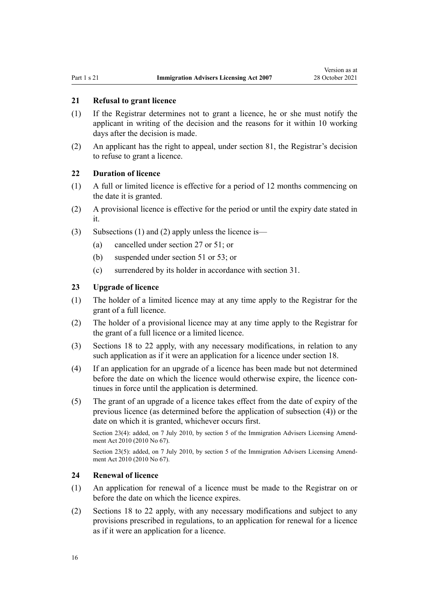# <span id="page-15-0"></span>**21 Refusal to grant licence**

- (1) If the Registrar determines not to grant a licence, he or she must notify the applicant in writing of the decision and the reasons for it within 10 working days after the decision is made.
- (2) An applicant has the right to appeal, under [section 81](#page-41-0), the Registrar's decision to refuse to grant a licence.

#### **22 Duration of licence**

- (1) A full or limited licence is effective for a period of 12 months commencing on the date it is granted.
- (2) A provisional licence is effective for the period or until the expiry date stated in it.
- (3) Subsections (1) and (2) apply unless the licence is—
	- (a) cancelled under [section 27](#page-16-0) or [51](#page-27-0); or
	- (b) suspended under [section 51](#page-27-0) or [53;](#page-28-0) or
	- (c) surrendered by its holder in accordance with [section 31](#page-18-0).

#### **23 Upgrade of licence**

- (1) The holder of a limited licence may at any time apply to the Registrar for the grant of a full licence.
- (2) The holder of a provisional licence may at any time apply to the Registrar for the grant of a full licence or a limited licence.
- (3) [Sections 18 to 22](#page-13-0) apply, with any necessary modifications, in relation to any such application as if it were an application for a licence under [section 18](#page-13-0).
- (4) If an application for an upgrade of a licence has been made but not determined before the date on which the licence would otherwise expire, the licence continues in force until the application is determined.
- (5) The grant of an upgrade of a licence takes effect from the date of expiry of the previous licence (as determined before the application of subsection (4)) or the date on which it is granted, whichever occurs first.

Section 23(4): added, on 7 July 2010, by [section 5](http://legislation.govt.nz/pdflink.aspx?id=DLM3042306) of the Immigration Advisers Licensing Amendment Act 2010 (2010 No 67).

Section 23(5): added, on 7 July 2010, by [section 5](http://legislation.govt.nz/pdflink.aspx?id=DLM3042306) of the Immigration Advisers Licensing Amendment Act 2010 (2010 No 67).

#### **24 Renewal of licence**

- (1) An application for renewal of a licence must be made to the Registrar on or before the date on which the licence expires.
- (2) [Sections 18 to 22](#page-13-0) apply, with any necessary modifications and subject to any provisions prescribed in regulations, to an application for renewal for a licence as if it were an application for a licence.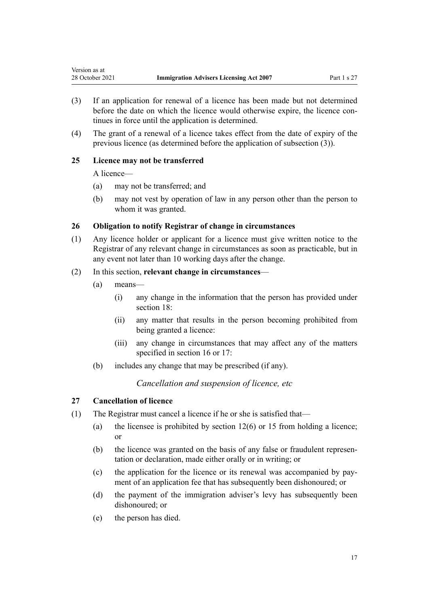- (3) If an application for renewal of a licence has been made but not determined before the date on which the licence would otherwise expire, the licence continues in force until the application is determined.
- (4) The grant of a renewal of a licence takes effect from the date of expiry of the previous licence (as determined before the application of subsection (3)).

#### **25 Licence may not be transferred**

A licence—

<span id="page-16-0"></span>Version as at

- (a) may not be transferred; and
- (b) may not vest by operation of law in any person other than the person to whom it was granted.

#### **26 Obligation to notify Registrar of change in circumstances**

(1) Any licence holder or applicant for a licence must give written notice to the Registrar of any relevant change in circumstances as soon as practicable, but in any event not later than 10 working days after the change.

#### (2) In this section, **relevant change in circumstances**—

- (a) means—
	- (i) any change in the information that the person has provided under [section 18](#page-13-0):
	- (ii) any matter that results in the person becoming prohibited from being granted a licence:
	- (iii) any change in circumstances that may affect any of the matters specified in [section 16](#page-12-0) or [17](#page-12-0):
- (b) includes any change that may be prescribed (if any).

*Cancellation and suspension of licence, etc*

# **27 Cancellation of licence**

- (1) The Registrar must cancel a licence if he or she is satisfied that—
	- (a) the licensee is prohibited by section  $12(6)$  or [15](#page-11-0) from holding a licence; or
	- (b) the licence was granted on the basis of any false or fraudulent representation or declaration, made either orally or in writing; or
	- (c) the application for the licence or its renewal was accompanied by pay‐ ment of an application fee that has subsequently been dishonoured; or
	- (d) the payment of the immigration adviser's levy has subsequently been dishonoured; or
	- (e) the person has died.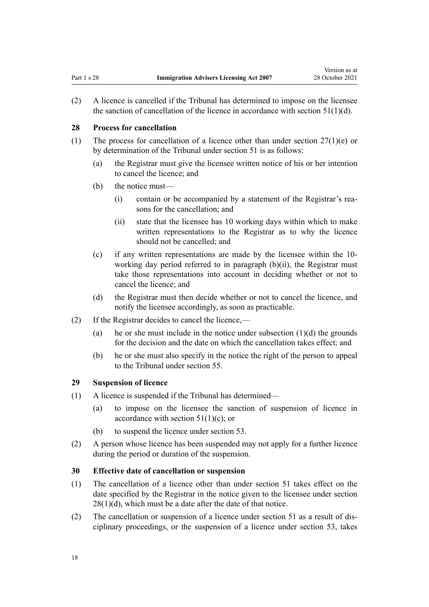<span id="page-17-0"></span>(2) A licence is cancelled if the Tribunal has determined to impose on the licensee the sanction of cancellation of the licence in accordance with section  $51(1)(d)$ .

#### **28 Process for cancellation**

- (1) The process for cancellation of a licence other than under section  $27(1)(e)$  or by determination of the Tribunal under [section 51](#page-27-0) is as follows:
	- (a) the Registrar must give the licensee written notice of his or her intention to cancel the licence; and
	- (b) the notice must—
		- (i) contain or be accompanied by a statement of the Registrar's rea‐ sons for the cancellation; and
		- (ii) state that the licensee has 10 working days within which to make written representations to the Registrar as to why the licence should not be cancelled; and
	- (c) if any written representations are made by the licensee within the 10 working day period referred to in paragraph (b)(ii), the Registrar must take those representations into account in deciding whether or not to cancel the licence; and
	- (d) the Registrar must then decide whether or not to cancel the licence, and notify the licensee accordingly, as soon as practicable.
- (2) If the Registrar decides to cancel the licence,—
	- (a) he or she must include in the notice under subsection  $(1)(d)$  the grounds for the decision and the date on which the cancellation takes effect; and
	- (b) he or she must also specify in the notice the right of the person to appeal to the Tribunal under [section 55](#page-29-0).

#### **29 Suspension of licence**

- (1) A licence is suspended if the Tribunal has determined—
	- (a) to impose on the licensee the sanction of suspension of licence in accordance with section  $51(1)(c)$ ; or
	- (b) to suspend the licence under [section 53](#page-28-0).
- (2) A person whose licence has been suspended may not apply for a further licence during the period or duration of the suspension.

#### **30 Effective date of cancellation or suspension**

- (1) The cancellation of a licence other than under [section 51](#page-27-0) takes effect on the date specified by the Registrar in the notice given to the licensee under section  $28(1)(d)$ , which must be a date after the date of that notice.
- (2) The cancellation or suspension of a licence under [section 51](#page-27-0) as a result of dis‐ ciplinary proceedings, or the suspension of a licence under [section 53](#page-28-0), takes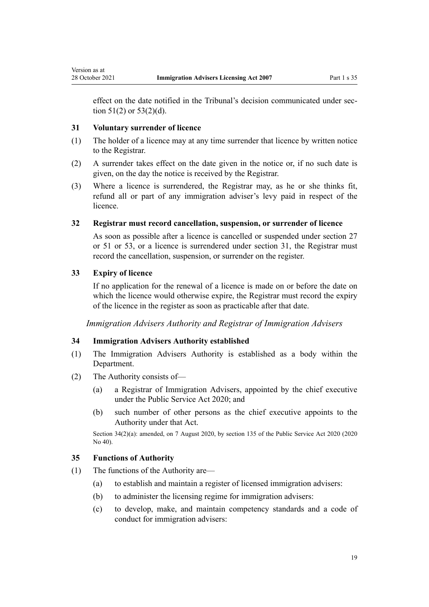<span id="page-18-0"></span>effect on the date notified in the Tribunal's decision communicated under section  $51(2)$  or  $53(2)(d)$ .

#### **31 Voluntary surrender of licence**

- (1) The holder of a licence may at any time surrender that licence by written notice to the Registrar.
- (2) A surrender takes effect on the date given in the notice or, if no such date is given, on the day the notice is received by the Registrar.
- (3) Where a licence is surrendered, the Registrar may, as he or she thinks fit, refund all or part of any immigration adviser's levy paid in respect of the licence.

#### **32 Registrar must record cancellation, suspension, or surrender of licence**

As soon as possible after a licence is cancelled or suspended under [section 27](#page-16-0) or [51](#page-27-0) or [53](#page-28-0), or a licence is surrendered under section 31, the Registrar must record the cancellation, suspension, or surrender on the register.

#### **33 Expiry of licence**

If no application for the renewal of a licence is made on or before the date on which the licence would otherwise expire, the Registrar must record the expiry of the licence in the register as soon as practicable after that date.

*Immigration Advisers Authority and Registrar of Immigration Advisers*

#### **34 Immigration Advisers Authority established**

- (1) The Immigration Advisers Authority is established as a body within the Department.
- (2) The Authority consists of—
	- (a) a Registrar of Immigration Advisers, appointed by the chief executive under the [Public Service Act 2020](http://legislation.govt.nz/pdflink.aspx?id=LMS106157); and
	- (b) such number of other persons as the chief executive appoints to the Authority under that Act.

Section 34(2)(a): amended, on 7 August 2020, by [section 135](http://legislation.govt.nz/pdflink.aspx?id=LMS176959) of the Public Service Act 2020 (2020 No 40).

#### **35 Functions of Authority**

- (1) The functions of the Authority are—
	- (a) to establish and maintain a register of licensed immigration advisers:
	- (b) to administer the licensing regime for immigration advisers:
	- (c) to develop, make, and maintain competency standards and a code of conduct for immigration advisers: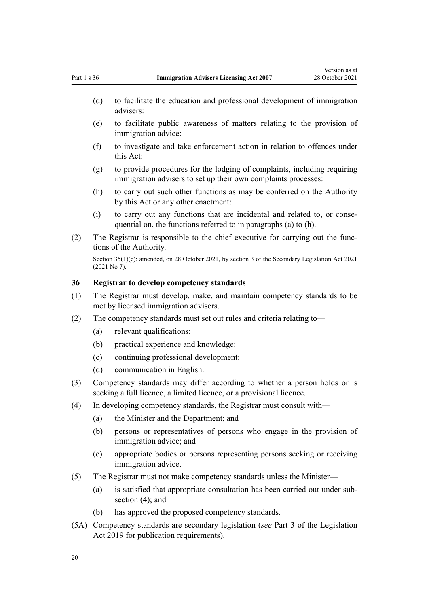- <span id="page-19-0"></span>(d) to facilitate the education and professional development of immigration advisers:
- (e) to facilitate public awareness of matters relating to the provision of immigration advice:
- (f) to investigate and take enforcement action in relation to offences under this Act:
- (g) to provide procedures for the lodging of complaints, including requiring immigration advisers to set up their own complaints processes:
- (h) to carry out such other functions as may be conferred on the Authority by this Act or any other enactment:
- (i) to carry out any functions that are incidental and related to, or conse‐ quential on, the functions referred to in paragraphs (a) to (h).
- (2) The Registrar is responsible to the chief executive for carrying out the func‐ tions of the Authority.

Section 35(1)(c): amended, on 28 October 2021, by [section 3](http://legislation.govt.nz/pdflink.aspx?id=LMS268932) of the Secondary Legislation Act 2021 (2021 No 7).

#### **36 Registrar to develop competency standards**

- (1) The Registrar must develop, make, and maintain competency standards to be met by licensed immigration advisers.
- (2) The competency standards must set out rules and criteria relating to—
	- (a) relevant qualifications:
	- (b) practical experience and knowledge:
	- (c) continuing professional development:
	- (d) communication in English.
- (3) Competency standards may differ according to whether a person holds or is seeking a full licence, a limited licence, or a provisional licence.
- (4) In developing competency standards, the Registrar must consult with—
	- (a) the Minister and the Department; and
	- (b) persons or representatives of persons who engage in the provision of immigration advice; and
	- (c) appropriate bodies or persons representing persons seeking or receiving immigration advice.
- (5) The Registrar must not make competency standards unless the Minister—
	- (a) is satisfied that appropriate consultation has been carried out under sub‐ section (4); and
	- (b) has approved the proposed competency standards.
- (5A) Competency standards are secondary legislation (*see* [Part 3](http://legislation.govt.nz/pdflink.aspx?id=DLM7298343) of the Legislation Act 2019 for publication requirements).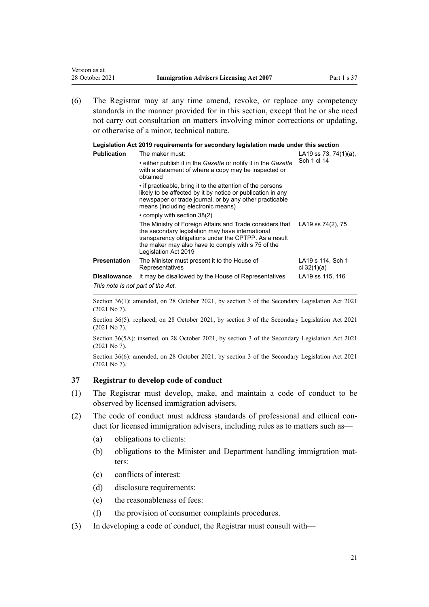(6) The Registrar may at any time amend, revoke, or replace any competency standards in the manner provided for in this section, except that he or she need not carry out consultation on matters involving minor corrections or updating, or otherwise of a minor, technical nature.

|                                   | Legislation Act 2019 requirements for secondary legislation made under this section                                                                                                                                                                 |                                    |
|-----------------------------------|-----------------------------------------------------------------------------------------------------------------------------------------------------------------------------------------------------------------------------------------------------|------------------------------------|
| <b>Publication</b>                | The maker must:                                                                                                                                                                                                                                     | LA19 ss 73, 74(1)(a),              |
|                                   | • either publish it in the Gazette or notify it in the Gazette<br>with a statement of where a copy may be inspected or<br>obtained                                                                                                                  | Sch 1 cl 14                        |
|                                   | • if practicable, bring it to the attention of the persons<br>likely to be affected by it by notice or publication in any<br>newspaper or trade journal, or by any other practicable<br>means (including electronic means)                          |                                    |
|                                   | • comply with section 38(2)                                                                                                                                                                                                                         |                                    |
|                                   | The Ministry of Foreign Affairs and Trade considers that<br>the secondary legislation may have international<br>transparency obligations under the CPTPP. As a result<br>the maker may also have to comply with s 75 of the<br>Legislation Act 2019 | LA19 ss 74(2), 75                  |
| <b>Presentation</b>               | The Minister must present it to the House of<br>Representatives                                                                                                                                                                                     | LA19 s 114, Sch 1<br>cl $32(1)(a)$ |
| <b>Disallowance</b>               | It may be disallowed by the House of Representatives                                                                                                                                                                                                | LA19 ss 115, 116                   |
| This note is not part of the Act. |                                                                                                                                                                                                                                                     |                                    |

Section 36(1): amended, on 28 October 2021, by [section 3](http://legislation.govt.nz/pdflink.aspx?id=LMS268932) of the Secondary Legislation Act 2021 (2021 No 7).

Section 36(5): replaced, on 28 October 2021, by [section 3](http://legislation.govt.nz/pdflink.aspx?id=LMS268932) of the Secondary Legislation Act 2021 (2021 No 7).

Section 36(5A): inserted, on 28 October 2021, by [section 3](http://legislation.govt.nz/pdflink.aspx?id=LMS268932) of the Secondary Legislation Act 2021 (2021 No 7).

Section 36(6): amended, on 28 October 2021, by [section 3](http://legislation.govt.nz/pdflink.aspx?id=LMS268932) of the Secondary Legislation Act 2021 (2021 No 7).

#### **37 Registrar to develop code of conduct**

<span id="page-20-0"></span>Version as at

- (1) The Registrar must develop, make, and maintain a code of conduct to be observed by licensed immigration advisers.
- (2) The code of conduct must address standards of professional and ethical conduct for licensed immigration advisers, including rules as to matters such as—
	- (a) obligations to clients:
	- (b) obligations to the Minister and Department handling immigration matters:
	- (c) conflicts of interest:
	- (d) disclosure requirements:
	- (e) the reasonableness of fees:
	- (f) the provision of consumer complaints procedures.
- (3) In developing a code of conduct, the Registrar must consult with—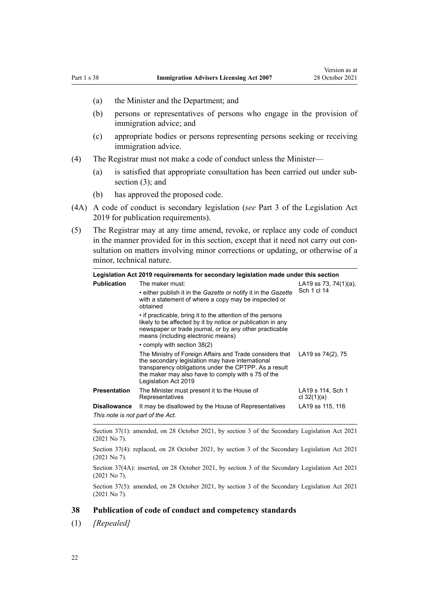- <span id="page-21-0"></span>(a) the Minister and the Department; and
- (b) persons or representatives of persons who engage in the provision of immigration advice; and
- (c) appropriate bodies or persons representing persons seeking or receiving immigration advice.
- (4) The Registrar must not make a code of conduct unless the Minister—
	- (a) is satisfied that appropriate consultation has been carried out under sub‐ section (3); and
	- (b) has approved the proposed code.
- (4A) A code of conduct is secondary legislation (*see* [Part 3](http://legislation.govt.nz/pdflink.aspx?id=DLM7298343) of the Legislation Act 2019 for publication requirements).
- (5) The Registrar may at any time amend, revoke, or replace any code of conduct in the manner provided for in this section, except that it need not carry out consultation on matters involving minor corrections or updating, or otherwise of a minor, technical nature.

| Legislation Act 2019 requirements for secondary legislation made under this section |                                                                                                                                                                                                                                                                                    |                                      |
|-------------------------------------------------------------------------------------|------------------------------------------------------------------------------------------------------------------------------------------------------------------------------------------------------------------------------------------------------------------------------------|--------------------------------------|
| <b>Publication</b>                                                                  | The maker must:<br>• either publish it in the Gazette or notify it in the Gazette<br>with a statement of where a copy may be inspected or<br>obtained                                                                                                                              | LA19 ss 73, 74(1)(a),<br>Sch 1 cl 14 |
|                                                                                     | • if practicable, bring it to the attention of the persons<br>likely to be affected by it by notice or publication in any<br>newspaper or trade journal, or by any other practicable<br>means (including electronic means)                                                         |                                      |
|                                                                                     | • comply with section 38(2)<br>The Ministry of Foreign Affairs and Trade considers that<br>the secondary legislation may have international<br>transparency obligations under the CPTPP. As a result<br>the maker may also have to comply with s 75 of the<br>Legislation Act 2019 | LA19 ss 74(2), 75                    |
| <b>Presentation</b>                                                                 | The Minister must present it to the House of<br>Representatives                                                                                                                                                                                                                    | LA19 s 114, Sch 1<br>cl $32(1)(a)$   |
| <b>Disallowance</b>                                                                 | It may be disallowed by the House of Representatives                                                                                                                                                                                                                               | LA19 ss 115, 116                     |
| This note is not part of the Act.                                                   |                                                                                                                                                                                                                                                                                    |                                      |

Section 37(1): amended, on 28 October 2021, by [section 3](http://legislation.govt.nz/pdflink.aspx?id=LMS268932) of the Secondary Legislation Act 2021 (2021 No 7).

Section 37(4): replaced, on 28 October 2021, by [section 3](http://legislation.govt.nz/pdflink.aspx?id=LMS268932) of the Secondary Legislation Act 2021 (2021 No 7).

Section 37(4A): inserted, on 28 October 2021, by [section 3](http://legislation.govt.nz/pdflink.aspx?id=LMS268932) of the Secondary Legislation Act 2021 (2021 No 7).

Section 37(5): amended, on 28 October 2021, by [section 3](http://legislation.govt.nz/pdflink.aspx?id=LMS268932) of the Secondary Legislation Act 2021 (2021 No 7).

#### **38 Publication of code of conduct and competency standards**

(1) *[Repealed]*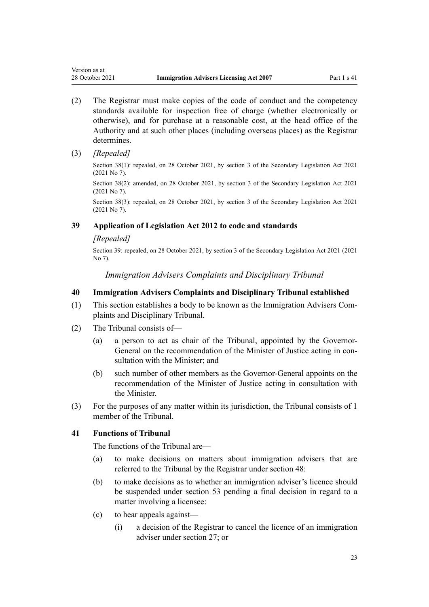- <span id="page-22-0"></span>(2) The Registrar must make copies of the code of conduct and the competency standards available for inspection free of charge (whether electronically or otherwise), and for purchase at a reasonable cost, at the head office of the Authority and at such other places (including overseas places) as the Registrar determines.
- (3) *[Repealed]*

Section 38(1): repealed, on 28 October 2021, by [section 3](http://legislation.govt.nz/pdflink.aspx?id=LMS268932) of the Secondary Legislation Act 2021 (2021 No 7).

Section 38(2): amended, on 28 October 2021, by [section 3](http://legislation.govt.nz/pdflink.aspx?id=LMS268932) of the Secondary Legislation Act 2021 (2021 No 7).

Section 38(3): repealed, on 28 October 2021, by [section 3](http://legislation.govt.nz/pdflink.aspx?id=LMS268932) of the Secondary Legislation Act 2021 (2021 No 7).

## **39 Application of Legislation Act 2012 to code and standards**

#### *[Repealed]*

Section 39: repealed, on 28 October 2021, by [section 3](http://legislation.govt.nz/pdflink.aspx?id=LMS268932) of the Secondary Legislation Act 2021 (2021 No 7).

*Immigration Advisers Complaints and Disciplinary Tribunal*

#### **40 Immigration Advisers Complaints and Disciplinary Tribunal established**

- (1) This section establishes a body to be known as the Immigration Advisers Com‐ plaints and Disciplinary Tribunal.
- (2) The Tribunal consists of—
	- (a) a person to act as chair of the Tribunal, appointed by the Governor-General on the recommendation of the Minister of Justice acting in consultation with the Minister; and
	- (b) such number of other members as the Governor-General appoints on the recommendation of the Minister of Justice acting in consultation with the Minister.
- (3) For the purposes of any matter within its jurisdiction, the Tribunal consists of 1 member of the Tribunal.

# **41 Functions of Tribunal**

The functions of the Tribunal are—

- (a) to make decisions on matters about immigration advisers that are referred to the Tribunal by the Registrar under [section 48:](#page-26-0)
- (b) to make decisions as to whether an immigration adviser's licence should be suspended under [section 53](#page-28-0) pending a final decision in regard to a matter involving a licensee:
- (c) to hear appeals against—
	- (i) a decision of the Registrar to cancel the licence of an immigration adviser under [section 27](#page-16-0); or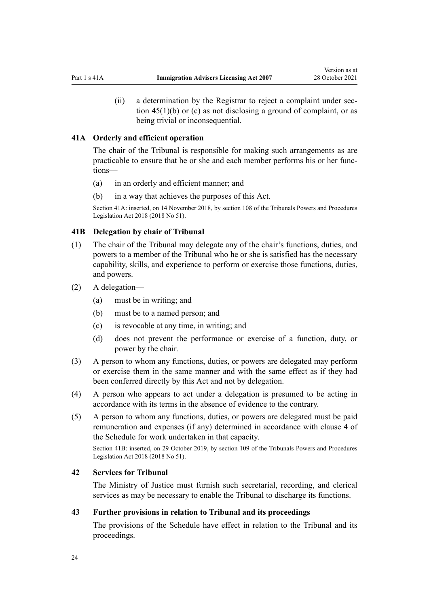<span id="page-23-0"></span>(ii) a determination by the Registrar to reject a complaint under sec[tion 45\(1\)\(b\) or \(c\)](#page-24-0) as not disclosing a ground of complaint, or as being trivial or inconsequential.

#### **41A Orderly and efficient operation**

The chair of the Tribunal is responsible for making such arrangements as are practicable to ensure that he or she and each member performs his or her func‐ tions—

- (a) in an orderly and efficient manner; and
- (b) in a way that achieves the purposes of this Act.

Section 41A: inserted, on 14 November 2018, by [section 108](http://legislation.govt.nz/pdflink.aspx?id=DLM7374319) of the Tribunals Powers and Procedures Legislation Act 2018 (2018 No 51).

#### **41B Delegation by chair of Tribunal**

- (1) The chair of the Tribunal may delegate any of the chair's functions, duties, and powers to a member of the Tribunal who he or she is satisfied has the necessary capability, skills, and experience to perform or exercise those functions, duties, and powers.
- (2) A delegation—
	- (a) must be in writing; and
	- (b) must be to a named person; and
	- (c) is revocable at any time, in writing; and
	- (d) does not prevent the performance or exercise of a function, duty, or power by the chair.
- (3) A person to whom any functions, duties, or powers are delegated may perform or exercise them in the same manner and with the same effect as if they had been conferred directly by this Act and not by delegation.
- (4) A person who appears to act under a delegation is presumed to be acting in accordance with its terms in the absence of evidence to the contrary.
- (5) A person to whom any functions, duties, or powers are delegated must be paid remuneration and expenses (if any) determined in accordance with [clause 4](#page-51-0) of the Schedule for work undertaken in that capacity.

Section 41B: inserted, on 29 October 2019, by [section 109](http://legislation.govt.nz/pdflink.aspx?id=DLM7374321) of the Tribunals Powers and Procedures Legislation Act 2018 (2018 No 51).

#### **42 Services for Tribunal**

The Ministry of Justice must furnish such secretarial, recording, and clerical services as may be necessary to enable the Tribunal to discharge its functions.

#### **43 Further provisions in relation to Tribunal and its proceedings**

The provisions of the [Schedule](#page-50-0) have effect in relation to the Tribunal and its proceedings.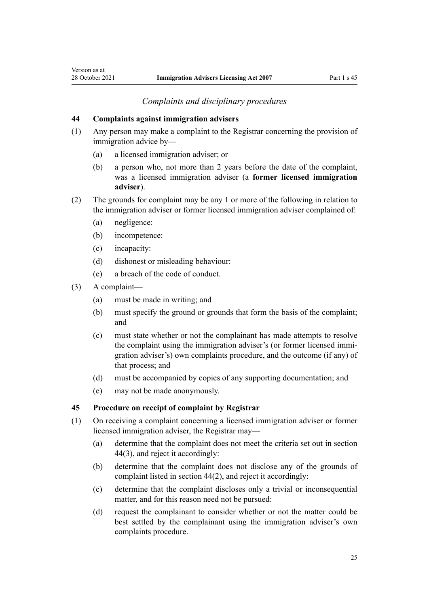#### *Complaints and disciplinary procedures*

#### <span id="page-24-0"></span>**44 Complaints against immigration advisers**

- (1) Any person may make a complaint to the Registrar concerning the provision of immigration advice by—
	- (a) a licensed immigration adviser; or
	- (b) a person who, not more than 2 years before the date of the complaint, was a licensed immigration adviser (a **former licensed immigration adviser**).
- (2) The grounds for complaint may be any 1 or more of the following in relation to the immigration adviser or former licensed immigration adviser complained of:
	- (a) negligence:
	- (b) incompetence:
	- (c) incapacity:
	- (d) dishonest or misleading behaviour:
	- (e) a breach of the code of conduct.
- (3) A complaint—
	- (a) must be made in writing; and
	- (b) must specify the ground or grounds that form the basis of the complaint; and
	- (c) must state whether or not the complainant has made attempts to resolve the complaint using the immigration adviser's (or former licensed immi‐ gration adviser's) own complaints procedure, and the outcome (if any) of that process; and
	- (d) must be accompanied by copies of any supporting documentation; and
	- (e) may not be made anonymously.

## **45 Procedure on receipt of complaint by Registrar**

- (1) On receiving a complaint concerning a licensed immigration adviser or former licensed immigration adviser, the Registrar may—
	- (a) determine that the complaint does not meet the criteria set out in section 44(3), and reject it accordingly:
	- (b) determine that the complaint does not disclose any of the grounds of complaint listed in section 44(2), and reject it accordingly:
	- (c) determine that the complaint discloses only a trivial or inconsequential matter, and for this reason need not be pursued:
	- (d) request the complainant to consider whether or not the matter could be best settled by the complainant using the immigration adviser's own complaints procedure.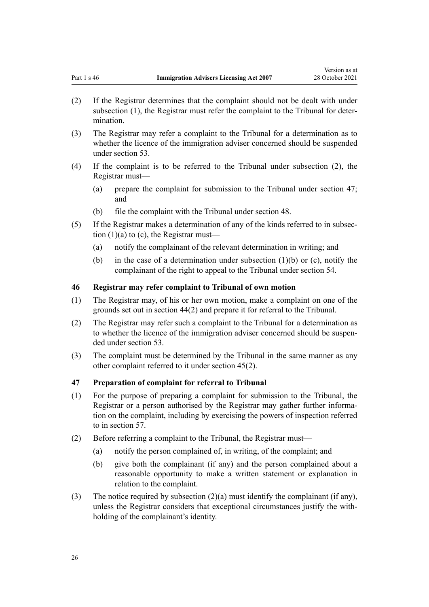- <span id="page-25-0"></span>(2) If the Registrar determines that the complaint should not be dealt with under subsection (1), the Registrar must refer the complaint to the Tribunal for determination.
- (3) The Registrar may refer a complaint to the Tribunal for a determination as to whether the licence of the immigration adviser concerned should be suspended under [section 53](#page-28-0).
- (4) If the complaint is to be referred to the Tribunal under subsection (2), the Registrar must—
	- (a) prepare the complaint for submission to the Tribunal under section 47; and
	- (b) file the complaint with the Tribunal under [section 48.](#page-26-0)
- (5) If the Registrar makes a determination of any of the kinds referred to in subsec‐ tion  $(1)(a)$  to  $(c)$ , the Registrar must—
	- (a) notify the complainant of the relevant determination in writing; and
	- (b) in the case of a determination under subsection (1)(b) or (c), notify the complainant of the right to appeal to the Tribunal under [section 54](#page-29-0).

#### **46 Registrar may refer complaint to Tribunal of own motion**

- (1) The Registrar may, of his or her own motion, make a complaint on one of the grounds set out in [section 44\(2\)](#page-24-0) and prepare it for referral to the Tribunal.
- (2) The Registrar may refer such a complaint to the Tribunal for a determination as to whether the licence of the immigration adviser concerned should be suspended under [section 53.](#page-28-0)
- (3) The complaint must be determined by the Tribunal in the same manner as any other complaint referred to it under [section 45\(2\)](#page-24-0).

#### **47 Preparation of complaint for referral to Tribunal**

- (1) For the purpose of preparing a complaint for submission to the Tribunal, the Registrar or a person authorised by the Registrar may gather further informa‐ tion on the complaint, including by exercising the powers of inspection referred to in [section 57.](#page-30-0)
- (2) Before referring a complaint to the Tribunal, the Registrar must—
	- (a) notify the person complained of, in writing, of the complaint; and
	- (b) give both the complainant (if any) and the person complained about a reasonable opportunity to make a written statement or explanation in relation to the complaint.
- (3) The notice required by subsection (2)(a) must identify the complainant (if any), unless the Registrar considers that exceptional circumstances justify the with‐ holding of the complainant's identity.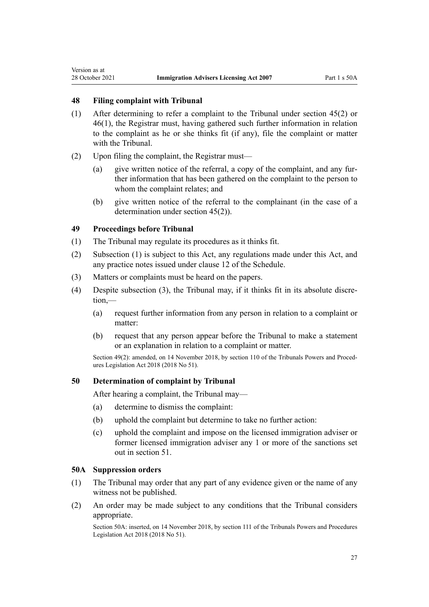<span id="page-26-0"></span>Version as at

# **48 Filing complaint with Tribunal**

- (1) After determining to refer a complaint to the Tribunal under [section 45\(2\)](#page-24-0) or [46\(1\)](#page-25-0), the Registrar must, having gathered such further information in relation to the complaint as he or she thinks fit (if any), file the complaint or matter with the Tribunal.
- (2) Upon filing the complaint, the Registrar must—
	- (a) give written notice of the referral, a copy of the complaint, and any fur‐ ther information that has been gathered on the complaint to the person to whom the complaint relates; and
	- (b) give written notice of the referral to the complainant (in the case of a determination under [section 45\(2\)](#page-24-0)).

#### **49 Proceedings before Tribunal**

- (1) The Tribunal may regulate its procedures as it thinks fit.
- (2) Subsection (1) is subject to this Act, any regulations made under this Act, and any practice notes issued under [clause 12](#page-54-0) of the Schedule.
- (3) Matters or complaints must be heard on the papers.
- (4) Despite subsection (3), the Tribunal may, if it thinks fit in its absolute discre‐ tion,—
	- (a) request further information from any person in relation to a complaint or matter:
	- (b) request that any person appear before the Tribunal to make a statement or an explanation in relation to a complaint or matter.

Section 49(2): amended, on 14 November 2018, by [section 110](http://legislation.govt.nz/pdflink.aspx?id=LMS104531) of the Tribunals Powers and Procedures Legislation Act 2018 (2018 No 51).

#### **50 Determination of complaint by Tribunal**

After hearing a complaint, the Tribunal may—

- (a) determine to dismiss the complaint:
- (b) uphold the complaint but determine to take no further action:
- (c) uphold the complaint and impose on the licensed immigration adviser or former licensed immigration adviser any 1 or more of the sanctions set out in [section 51.](#page-27-0)

#### **50A Suppression orders**

- (1) The Tribunal may order that any part of any evidence given or the name of any witness not be published.
- (2) An order may be made subject to any conditions that the Tribunal considers appropriate.

Section 50A: inserted, on 14 November 2018, by [section 111](http://legislation.govt.nz/pdflink.aspx?id=DLM7374323) of the Tribunals Powers and Procedures Legislation Act 2018 (2018 No 51).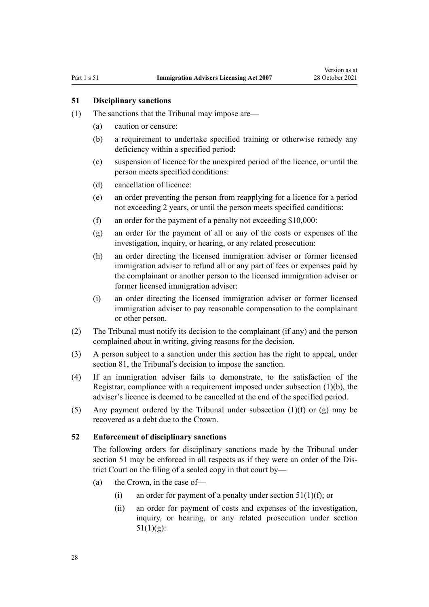#### <span id="page-27-0"></span>**51 Disciplinary sanctions**

- (1) The sanctions that the Tribunal may impose are—
	- (a) caution or censure:
	- (b) a requirement to undertake specified training or otherwise remedy any deficiency within a specified period:
	- (c) suspension of licence for the unexpired period of the licence, or until the person meets specified conditions:
	- (d) cancellation of licence:
	- (e) an order preventing the person from reapplying for a licence for a period not exceeding 2 years, or until the person meets specified conditions:
	- (f) an order for the payment of a penalty not exceeding \$10,000:
	- (g) an order for the payment of all or any of the costs or expenses of the investigation, inquiry, or hearing, or any related prosecution:
	- (h) an order directing the licensed immigration adviser or former licensed immigration adviser to refund all or any part of fees or expenses paid by the complainant or another person to the licensed immigration adviser or former licensed immigration adviser:
	- (i) an order directing the licensed immigration adviser or former licensed immigration adviser to pay reasonable compensation to the complainant or other person.
- (2) The Tribunal must notify its decision to the complainant (if any) and the person complained about in writing, giving reasons for the decision.
- (3) A person subject to a sanction under this section has the right to appeal, under [section 81](#page-41-0), the Tribunal's decision to impose the sanction.
- (4) If an immigration adviser fails to demonstrate, to the satisfaction of the Registrar, compliance with a requirement imposed under subsection (1)(b), the adviser's licence is deemed to be cancelled at the end of the specified period.
- (5) Any payment ordered by the Tribunal under subsection  $(1)(f)$  or  $(g)$  may be recovered as a debt due to the Crown.

#### **52 Enforcement of disciplinary sanctions**

The following orders for disciplinary sanctions made by the Tribunal under section 51 may be enforced in all respects as if they were an order of the District Court on the filing of a sealed copy in that court by—

- (a) the Crown, in the case of—
	- (i) an order for payment of a penalty under section  $51(1)(f)$ ; or
	- (ii) an order for payment of costs and expenses of the investigation, inquiry, or hearing, or any related prosecution under section  $51(1)(g)$ :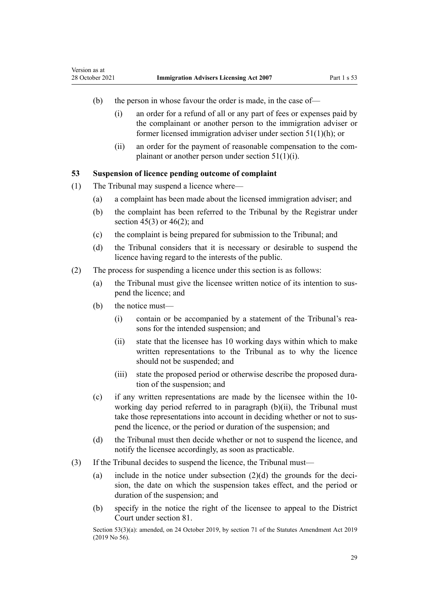- <span id="page-28-0"></span>(b) the person in whose favour the order is made, in the case of—
	- (i) an order for a refund of all or any part of fees or expenses paid by the complainant or another person to the immigration adviser or former licensed immigration adviser under [section 51\(1\)\(h\);](#page-27-0) or
	- (ii) an order for the payment of reasonable compensation to the com‐ plainant or another person under [section 51\(1\)\(i\).](#page-27-0)

#### **53 Suspension of licence pending outcome of complaint**

- (1) The Tribunal may suspend a licence where—
	- (a) a complaint has been made about the licensed immigration adviser; and
	- (b) the complaint has been referred to the Tribunal by the Registrar under section  $45(3)$  or  $46(2)$ ; and
	- (c) the complaint is being prepared for submission to the Tribunal; and
	- (d) the Tribunal considers that it is necessary or desirable to suspend the licence having regard to the interests of the public.
- (2) The process for suspending a licence under this section is as follows:
	- (a) the Tribunal must give the licensee written notice of its intention to sus‐ pend the licence; and
	- (b) the notice must—
		- (i) contain or be accompanied by a statement of the Tribunal's rea‐ sons for the intended suspension; and
		- (ii) state that the licensee has 10 working days within which to make written representations to the Tribunal as to why the licence should not be suspended; and
		- (iii) state the proposed period or otherwise describe the proposed dura‐ tion of the suspension; and
	- (c) if any written representations are made by the licensee within the 10 working day period referred to in paragraph (b)(ii), the Tribunal must take those representations into account in deciding whether or not to suspend the licence, or the period or duration of the suspension; and
	- (d) the Tribunal must then decide whether or not to suspend the licence, and notify the licensee accordingly, as soon as practicable.
- (3) If the Tribunal decides to suspend the licence, the Tribunal must—
	- (a) include in the notice under subsection  $(2)(d)$  the grounds for the decision, the date on which the suspension takes effect, and the period or duration of the suspension; and
	- (b) specify in the notice the right of the licensee to appeal to the District Court under [section 81](#page-41-0).

Section 53(3)(a): amended, on 24 October 2019, by [section 71](http://legislation.govt.nz/pdflink.aspx?id=LMS156043) of the Statutes Amendment Act 2019 (2019 No 56).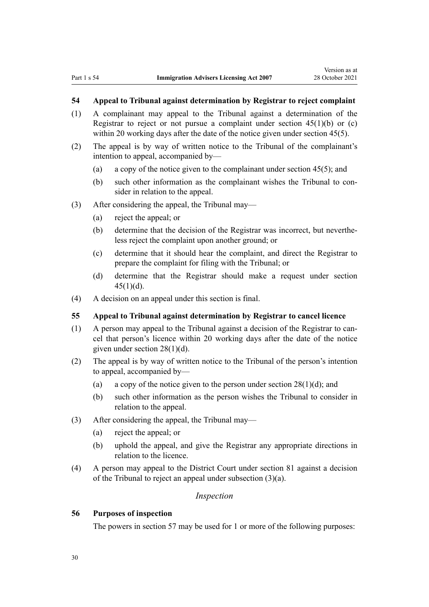# <span id="page-29-0"></span>**54 Appeal to Tribunal against determination by Registrar to reject complaint**

- (1) A complainant may appeal to the Tribunal against a determination of the Registrar to reject or not pursue a complaint under section  $45(1)(b)$  or (c) within 20 working days after the date of the notice given under section 45(5).
- (2) The appeal is by way of written notice to the Tribunal of the complainant's intention to appeal, accompanied by—
	- (a) a copy of the notice given to the complainant under [section 45\(5\)](#page-24-0); and
	- (b) such other information as the complainant wishes the Tribunal to consider in relation to the appeal.
- (3) After considering the appeal, the Tribunal may—
	- (a) reject the appeal; or
	- (b) determine that the decision of the Registrar was incorrect, but neverthe‐ less reject the complaint upon another ground; or
	- (c) determine that it should hear the complaint, and direct the Registrar to prepare the complaint for filing with the Tribunal; or
	- (d) determine that the Registrar should make a request under [section](#page-24-0)  $45(1)(d)$ .
- (4) A decision on an appeal under this section is final.

#### **55 Appeal to Tribunal against determination by Registrar to cancel licence**

- (1) A person may appeal to the Tribunal against a decision of the Registrar to can‐ cel that person's licence within 20 working days after the date of the notice given under [section 28\(1\)\(d\)](#page-17-0).
- (2) The appeal is by way of written notice to the Tribunal of the person's intention to appeal, accompanied by—
	- (a) a copy of the notice given to the person under section  $28(1)(d)$ ; and
	- (b) such other information as the person wishes the Tribunal to consider in relation to the appeal.
- (3) After considering the appeal, the Tribunal may—
	- (a) reject the appeal; or
	- (b) uphold the appeal, and give the Registrar any appropriate directions in relation to the licence.
- (4) A person may appeal to the District Court under [section 81](#page-41-0) against a decision of the Tribunal to reject an appeal under subsection (3)(a).

#### *Inspection*

#### **56 Purposes of inspection**

The powers in [section 57](#page-30-0) may be used for 1 or more of the following purposes: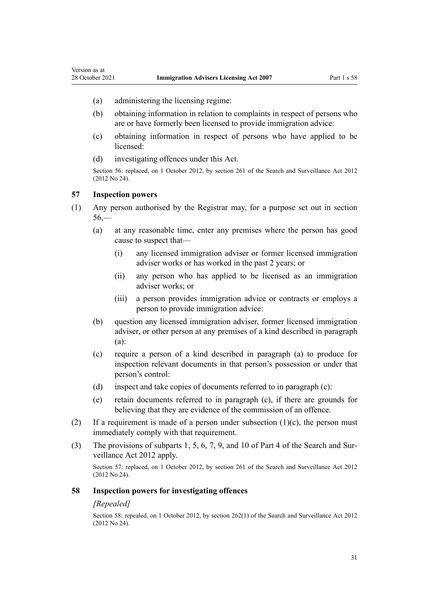- <span id="page-30-0"></span>(a) administering the licensing regime:
- (b) obtaining information in relation to complaints in respect of persons who are or have formerly been licensed to provide immigration advice:
- (c) obtaining information in respect of persons who have applied to be licensed:
- (d) investigating offences under this Act.

Section 56: replaced, on 1 October 2012, by [section 261](http://legislation.govt.nz/pdflink.aspx?id=DLM2137004) of the Search and Surveillance Act 2012 (2012 No 24).

### **57 Inspection powers**

- (1) Any person authorised by the Registrar may, for a purpose set out in [section](#page-29-0) [56,](#page-29-0)—
	- (a) at any reasonable time, enter any premises where the person has good cause to suspect that—
		- (i) any licensed immigration adviser or former licensed immigration adviser works or has worked in the past 2 years; or
		- (ii) any person who has applied to be licensed as an immigration adviser works; or
		- (iii) a person provides immigration advice or contracts or employs a person to provide immigration advice:
	- (b) question any licensed immigration adviser, former licensed immigration adviser, or other person at any premises of a kind described in paragraph (a):
	- (c) require a person of a kind described in paragraph (a) to produce for inspection relevant documents in that person's possession or under that person's control:
	- (d) inspect and take copies of documents referred to in paragraph (c):
	- (e) retain documents referred to in paragraph (c), if there are grounds for believing that they are evidence of the commission of an offence.
- (2) If a requirement is made of a person under subsection  $(1)(c)$ , the person must immediately comply with that requirement.
- (3) The provisions of [subparts 1](http://legislation.govt.nz/pdflink.aspx?id=DLM2136771), [5](http://legislation.govt.nz/pdflink.aspx?id=DLM2136842), [6,](http://legislation.govt.nz/pdflink.aspx?id=DLM2136860) [7,](http://legislation.govt.nz/pdflink.aspx?id=DLM2136877) [9](http://legislation.govt.nz/pdflink.aspx?id=DLM2136888), and [10](http://legislation.govt.nz/pdflink.aspx?id=DLM2136896) of Part 4 of the Search and Sur‐ veillance Act 2012 apply.

Section 57: replaced, on 1 October 2012, by [section 261](http://legislation.govt.nz/pdflink.aspx?id=DLM2137004) of the Search and Surveillance Act 2012 (2012 No 24).

#### **58 Inspection powers for investigating offences**

#### *[Repealed]*

Section 58: repealed, on 1 October 2012, by [section 262\(1\)](http://legislation.govt.nz/pdflink.aspx?id=DLM2137007) of the Search and Surveillance Act 2012 (2012 No 24).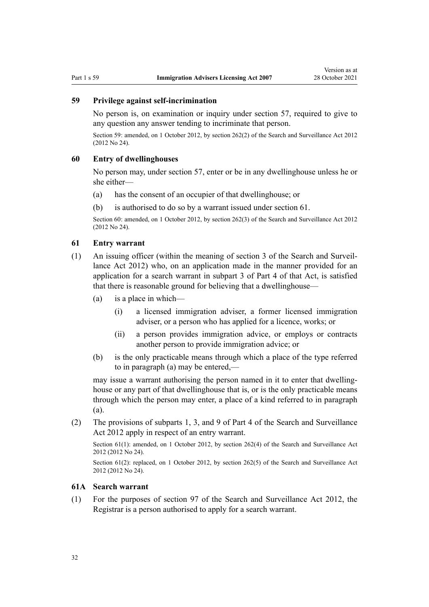# <span id="page-31-0"></span>**59 Privilege against self-incrimination**

No person is, on examination or inquiry under [section 57](#page-30-0), required to give to any question any answer tending to incriminate that person.

Section 59: amended, on 1 October 2012, by [section 262\(2\)](http://legislation.govt.nz/pdflink.aspx?id=DLM2137007) of the Search and Surveillance Act 2012 (2012 No 24).

#### **60 Entry of dwellinghouses**

No person may, under [section 57](#page-30-0), enter or be in any dwellinghouse unless he or she either—

- (a) has the consent of an occupier of that dwellinghouse; or
- (b) is authorised to do so by a warrant issued under section 61.

Section 60: amended, on 1 October 2012, by [section 262\(3\)](http://legislation.govt.nz/pdflink.aspx?id=DLM2137007) of the Search and Surveillance Act 2012 (2012 No 24).

#### **61 Entry warrant**

- (1) An issuing officer (within the meaning of [section 3](http://legislation.govt.nz/pdflink.aspx?id=DLM2136542) of the Search and Surveil‐ lance Act 2012) who, on an application made in the manner provided for an application for a search warrant in [subpart 3](http://legislation.govt.nz/pdflink.aspx?id=DLM2136781) of Part 4 of that Act, is satisfied that there is reasonable ground for believing that a dwellinghouse—
	- (a) is a place in which—
		- (i) a licensed immigration adviser, a former licensed immigration adviser, or a person who has applied for a licence, works; or
		- (ii) a person provides immigration advice, or employs or contracts another person to provide immigration advice; or
	- (b) is the only practicable means through which a place of the type referred to in paragraph (a) may be entered,—

may issue a warrant authorising the person named in it to enter that dwellinghouse or any part of that dwellinghouse that is, or is the only practicable means through which the person may enter, a place of a kind referred to in paragraph (a).

(2) The provisions of [subparts 1](http://legislation.govt.nz/pdflink.aspx?id=DLM2136771), [3](http://legislation.govt.nz/pdflink.aspx?id=DLM2136781), and [9](http://legislation.govt.nz/pdflink.aspx?id=DLM2136888) of Part 4 of the Search and Surveillance Act 2012 apply in respect of an entry warrant.

Section 61(1): amended, on 1 October 2012, by [section 262\(4\)](http://legislation.govt.nz/pdflink.aspx?id=DLM2137007) of the Search and Surveillance Act 2012 (2012 No 24).

Section 61(2): replaced, on 1 October 2012, by [section 262\(5\)](http://legislation.govt.nz/pdflink.aspx?id=DLM2137007) of the Search and Surveillance Act 2012 (2012 No 24).

#### **61A Search warrant**

(1) For the purposes of [section 97](http://legislation.govt.nz/pdflink.aspx?id=DLM2136783) of the Search and Surveillance Act 2012, the Registrar is a person authorised to apply for a search warrant.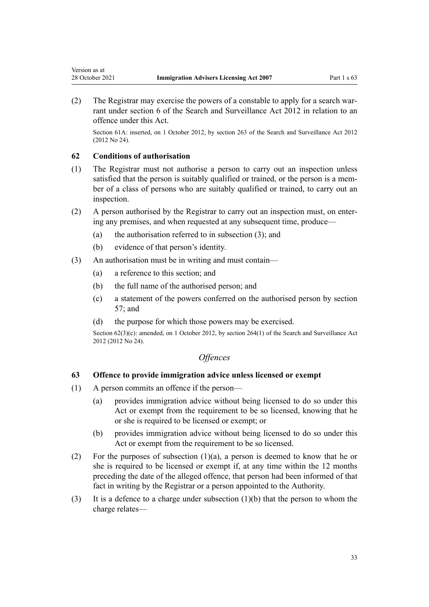<span id="page-32-0"></span>(2) The Registrar may exercise the powers of a constable to apply for a search warrant under [section 6](http://legislation.govt.nz/pdflink.aspx?id=DLM2136635) of the Search and Surveillance Act 2012 in relation to an offence under this Act.

Section 61A: inserted, on 1 October 2012, by [section 263](http://legislation.govt.nz/pdflink.aspx?id=DLM4356317) of the Search and Surveillance Act 2012 (2012 No 24).

#### **62 Conditions of authorisation**

- (1) The Registrar must not authorise a person to carry out an inspection unless satisfied that the person is suitably qualified or trained, or the person is a member of a class of persons who are suitably qualified or trained, to carry out an inspection.
- (2) A person authorised by the Registrar to carry out an inspection must, on enter‐ ing any premises, and when requested at any subsequent time, produce—
	- (a) the authorisation referred to in subsection (3); and
	- (b) evidence of that person's identity.
- (3) An authorisation must be in writing and must contain—
	- (a) a reference to this section; and
	- (b) the full name of the authorised person; and
	- (c) a statement of the powers conferred on the authorised person by [section](#page-30-0) [57;](#page-30-0) and
	- (d) the purpose for which those powers may be exercised.

Section 62(3)(c): amended, on 1 October 2012, by [section 264\(1\)](http://legislation.govt.nz/pdflink.aspx?id=DLM4356319) of the Search and Surveillance Act 2012 (2012 No 24).

# *Offences*

#### **63 Offence to provide immigration advice unless licensed or exempt**

- (1) A person commits an offence if the person—
	- (a) provides immigration advice without being licensed to do so under this Act or exempt from the requirement to be so licensed, knowing that he or she is required to be licensed or exempt; or
	- (b) provides immigration advice without being licensed to do so under this Act or exempt from the requirement to be so licensed.
- (2) For the purposes of subsection  $(1)(a)$ , a person is deemed to know that he or she is required to be licensed or exempt if, at any time within the 12 months preceding the date of the alleged offence, that person had been informed of that fact in writing by the Registrar or a person appointed to the Authority.
- (3) It is a defence to a charge under subsection  $(1)(b)$  that the person to whom the charge relates—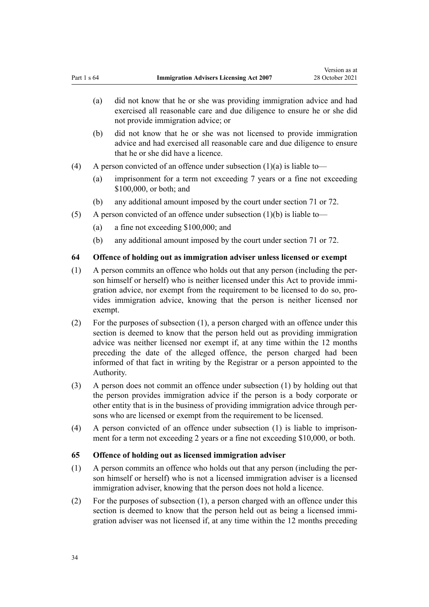- <span id="page-33-0"></span>(a) did not know that he or she was providing immigration advice and had exercised all reasonable care and due diligence to ensure he or she did not provide immigration advice; or
- (b) did not know that he or she was not licensed to provide immigration advice and had exercised all reasonable care and due diligence to ensure that he or she did have a licence.
- (4) A person convicted of an offence under subsection  $(1)(a)$  is liable to—
	- (a) imprisonment for a term not exceeding 7 years or a fine not exceeding \$100,000, or both; and
	- (b) any additional amount imposed by the court under [section 71](#page-37-0) or [72](#page-38-0).
- (5) A person convicted of an offence under subsection  $(1)(b)$  is liable to—
	- (a) a fine not exceeding \$100,000; and
	- (b) any additional amount imposed by the court under [section 71](#page-37-0) or [72](#page-38-0).

#### **64 Offence of holding out as immigration adviser unless licensed or exempt**

- (1) A person commits an offence who holds out that any person (including the per‐ son himself or herself) who is neither licensed under this Act to provide immigration advice, nor exempt from the requirement to be licensed to do so, provides immigration advice, knowing that the person is neither licensed nor exempt.
- (2) For the purposes of subsection (1), a person charged with an offence under this section is deemed to know that the person held out as providing immigration advice was neither licensed nor exempt if, at any time within the 12 months preceding the date of the alleged offence, the person charged had been informed of that fact in writing by the Registrar or a person appointed to the Authority.
- (3) A person does not commit an offence under subsection (1) by holding out that the person provides immigration advice if the person is a body corporate or other entity that is in the business of providing immigration advice through per‐ sons who are licensed or exempt from the requirement to be licensed.
- (4) A person convicted of an offence under subsection  $(1)$  is liable to imprisonment for a term not exceeding 2 years or a fine not exceeding \$10,000, or both.

#### **65 Offence of holding out as licensed immigration adviser**

- (1) A person commits an offence who holds out that any person (including the per‐ son himself or herself) who is not a licensed immigration adviser is a licensed immigration adviser, knowing that the person does not hold a licence.
- (2) For the purposes of subsection (1), a person charged with an offence under this section is deemed to know that the person held out as being a licensed immigration adviser was not licensed if, at any time within the 12 months preceding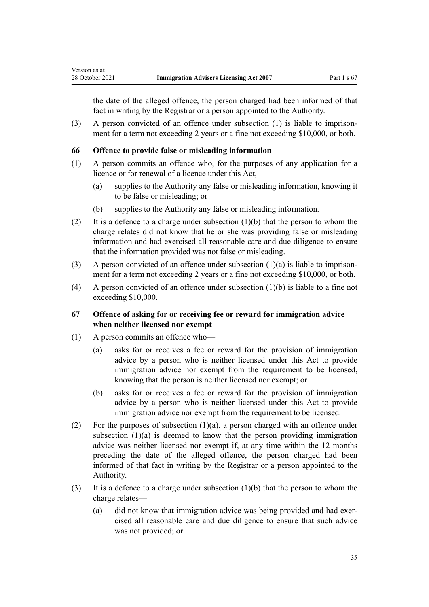<span id="page-34-0"></span>the date of the alleged offence, the person charged had been informed of that fact in writing by the Registrar or a person appointed to the Authority.

(3) A person convicted of an offence under subsection  $(1)$  is liable to imprisonment for a term not exceeding 2 years or a fine not exceeding \$10,000, or both.

#### **66 Offence to provide false or misleading information**

- (1) A person commits an offence who, for the purposes of any application for a licence or for renewal of a licence under this Act,—
	- (a) supplies to the Authority any false or misleading information, knowing it to be false or misleading; or
	- (b) supplies to the Authority any false or misleading information.
- (2) It is a defence to a charge under subsection  $(1)(b)$  that the person to whom the charge relates did not know that he or she was providing false or misleading information and had exercised all reasonable care and due diligence to ensure that the information provided was not false or misleading.
- (3) A person convicted of an offence under subsection  $(1)(a)$  is liable to imprisonment for a term not exceeding 2 years or a fine not exceeding \$10,000, or both.
- (4) A person convicted of an offence under subsection  $(1)(b)$  is liable to a fine not exceeding \$10,000.

# **67 Offence of asking for or receiving fee or reward for immigration advice when neither licensed nor exempt**

- (1) A person commits an offence who—
	- (a) asks for or receives a fee or reward for the provision of immigration advice by a person who is neither licensed under this Act to provide immigration advice nor exempt from the requirement to be licensed, knowing that the person is neither licensed nor exempt; or
	- (b) asks for or receives a fee or reward for the provision of immigration advice by a person who is neither licensed under this Act to provide immigration advice nor exempt from the requirement to be licensed.
- (2) For the purposes of subsection  $(1)(a)$ , a person charged with an offence under subsection (1)(a) is deemed to know that the person providing immigration advice was neither licensed nor exempt if, at any time within the 12 months preceding the date of the alleged offence, the person charged had been informed of that fact in writing by the Registrar or a person appointed to the Authority.
- (3) It is a defence to a charge under subsection (1)(b) that the person to whom the charge relates—
	- (a) did not know that immigration advice was being provided and had exercised all reasonable care and due diligence to ensure that such advice was not provided; or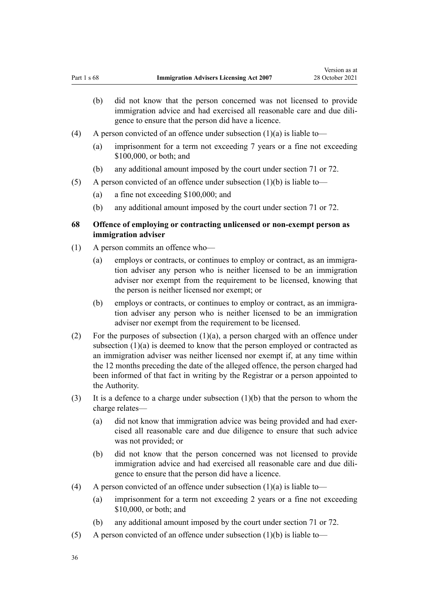- <span id="page-35-0"></span>(b) did not know that the person concerned was not licensed to provide immigration advice and had exercised all reasonable care and due diligence to ensure that the person did have a licence.
- (4) A person convicted of an offence under subsection  $(1)(a)$  is liable to—
	- (a) imprisonment for a term not exceeding 7 years or a fine not exceeding \$100,000, or both; and
	- (b) any additional amount imposed by the court under [section 71](#page-37-0) or [72](#page-38-0).
- (5) A person convicted of an offence under subsection  $(1)(b)$  is liable to—
	- (a) a fine not exceeding \$100,000; and
	- (b) any additional amount imposed by the court under [section 71](#page-37-0) or [72](#page-38-0).

# **68 Offence of employing or contracting unlicensed or non-exempt person as immigration adviser**

- (1) A person commits an offence who—
	- (a) employs or contracts, or continues to employ or contract, as an immigration adviser any person who is neither licensed to be an immigration adviser nor exempt from the requirement to be licensed, knowing that the person is neither licensed nor exempt; or
	- (b) employs or contracts, or continues to employ or contract, as an immigration adviser any person who is neither licensed to be an immigration adviser nor exempt from the requirement to be licensed.
- (2) For the purposes of subsection  $(1)(a)$ , a person charged with an offence under subsection (1)(a) is deemed to know that the person employed or contracted as an immigration adviser was neither licensed nor exempt if, at any time within the 12 months preceding the date of the alleged offence, the person charged had been informed of that fact in writing by the Registrar or a person appointed to the Authority.
- (3) It is a defence to a charge under subsection  $(1)(b)$  that the person to whom the charge relates—
	- (a) did not know that immigration advice was being provided and had exercised all reasonable care and due diligence to ensure that such advice was not provided; or
	- (b) did not know that the person concerned was not licensed to provide immigration advice and had exercised all reasonable care and due diligence to ensure that the person did have a licence.
- (4) A person convicted of an offence under subsection  $(1)(a)$  is liable to—
	- (a) imprisonment for a term not exceeding 2 years or a fine not exceeding \$10,000, or both; and
	- (b) any additional amount imposed by the court under [section 71](#page-37-0) or [72](#page-38-0).
- (5) A person convicted of an offence under subsection  $(1)(b)$  is liable to—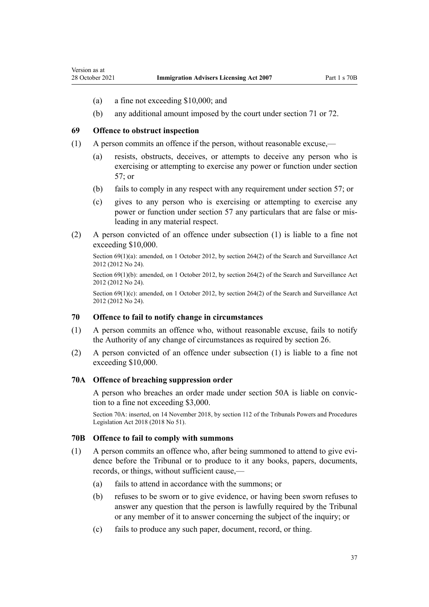<span id="page-36-0"></span>Version as at

- (a) a fine not exceeding \$10,000; and
- (b) any additional amount imposed by the court under [section 71](#page-37-0) or [72](#page-38-0).

#### **69 Offence to obstruct inspection**

- (1) A person commits an offence if the person, without reasonable excuse,—
	- (a) resists, obstructs, deceives, or attempts to deceive any person who is exercising or attempting to exercise any power or function under [section](#page-30-0) [57;](#page-30-0) or
	- (b) fails to comply in any respect with any requirement under [section 57](#page-30-0); or
	- (c) gives to any person who is exercising or attempting to exercise any power or function under [section 57](#page-30-0) any particulars that are false or misleading in any material respect.
- (2) A person convicted of an offence under subsection (1) is liable to a fine not exceeding \$10,000.

Section 69(1)(a): amended, on 1 October 2012, by [section 264\(2\)](http://legislation.govt.nz/pdflink.aspx?id=DLM4356319) of the Search and Surveillance Act 2012 (2012 No 24).

Section 69(1)(b): amended, on 1 October 2012, by [section 264\(2\)](http://legislation.govt.nz/pdflink.aspx?id=DLM4356319) of the Search and Surveillance Act 2012 (2012 No 24).

Section 69(1)(c): amended, on 1 October 2012, by [section 264\(2\)](http://legislation.govt.nz/pdflink.aspx?id=DLM4356319) of the Search and Surveillance Act 2012 (2012 No 24).

#### **70 Offence to fail to notify change in circumstances**

- (1) A person commits an offence who, without reasonable excuse, fails to notify the Authority of any change of circumstances as required by [section 26.](#page-16-0)
- (2) A person convicted of an offence under subsection (1) is liable to a fine not exceeding \$10,000.

#### **70A Offence of breaching suppression order**

A person who breaches an order made under [section 50A](#page-26-0) is liable on convic‐ tion to a fine not exceeding \$3,000.

Section 70A: inserted, on 14 November 2018, by [section 112](http://legislation.govt.nz/pdflink.aspx?id=DLM7374326) of the Tribunals Powers and Procedures Legislation Act 2018 (2018 No 51).

#### **70B Offence to fail to comply with summons**

- $(1)$  A person commits an offence who, after being summoned to attend to give evidence before the Tribunal or to produce to it any books, papers, documents, records, or things, without sufficient cause,—
	- (a) fails to attend in accordance with the summons; or
	- (b) refuses to be sworn or to give evidence, or having been sworn refuses to answer any question that the person is lawfully required by the Tribunal or any member of it to answer concerning the subject of the inquiry; or
	- (c) fails to produce any such paper, document, record, or thing.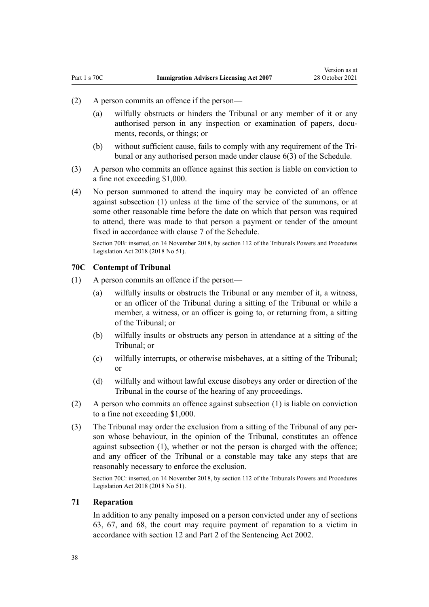- <span id="page-37-0"></span>(2) A person commits an offence if the person—
	- (a) wilfully obstructs or hinders the Tribunal or any member of it or any authorised person in any inspection or examination of papers, documents, records, or things; or
	- (b) without sufficient cause, fails to comply with any requirement of the Tri‐ bunal or any authorised person made under [clause 6\(3\)](#page-51-0) of the Schedule.
- (3) A person who commits an offence against this section is liable on conviction to a fine not exceeding \$1,000.
- (4) No person summoned to attend the inquiry may be convicted of an offence against subsection (1) unless at the time of the service of the summons, or at some other reasonable time before the date on which that person was required to attend, there was made to that person a payment or tender of the amount fixed in accordance with [clause 7](#page-52-0) of the Schedule.

Section 70B: inserted, on 14 November 2018, by [section 112](http://legislation.govt.nz/pdflink.aspx?id=DLM7374326) of the Tribunals Powers and Procedures Legislation Act 2018 (2018 No 51).

#### **70C Contempt of Tribunal**

- (1) A person commits an offence if the person—
	- (a) wilfully insults or obstructs the Tribunal or any member of it, a witness, or an officer of the Tribunal during a sitting of the Tribunal or while a member, a witness, or an officer is going to, or returning from, a sitting of the Tribunal; or
	- (b) wilfully insults or obstructs any person in attendance at a sitting of the Tribunal; or
	- (c) wilfully interrupts, or otherwise misbehaves, at a sitting of the Tribunal; or
	- (d) wilfully and without lawful excuse disobeys any order or direction of the Tribunal in the course of the hearing of any proceedings.
- (2) A person who commits an offence against subsection (1) is liable on conviction to a fine not exceeding \$1,000.
- (3) The Tribunal may order the exclusion from a sitting of the Tribunal of any per‐ son whose behaviour, in the opinion of the Tribunal, constitutes an offence against subsection (1), whether or not the person is charged with the offence; and any officer of the Tribunal or a constable may take any steps that are reasonably necessary to enforce the exclusion.

Section 70C: inserted, on 14 November 2018, by [section 112](http://legislation.govt.nz/pdflink.aspx?id=DLM7374326) of the Tribunals Powers and Procedures Legislation Act 2018 (2018 No 51).

#### **71 Reparation**

In addition to any penalty imposed on a person convicted under any of [sections](#page-32-0) [63,](#page-32-0) [67](#page-34-0), and [68,](#page-35-0) the court may require payment of reparation to a victim in accordance with [section 12](http://legislation.govt.nz/pdflink.aspx?id=DLM135553) and [Part 2](http://legislation.govt.nz/pdflink.aspx?id=DLM135593) of the Sentencing Act 2002.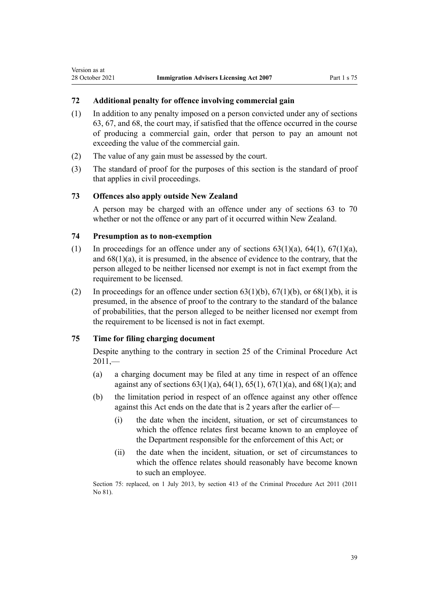# **72 Additional penalty for offence involving commercial gain**

- (1) In addition to any penalty imposed on a person convicted under any of [sections](#page-32-0) [63,](#page-32-0) [67,](#page-34-0) and [68,](#page-35-0) the court may, if satisfied that the offence occurred in the course of producing a commercial gain, order that person to pay an amount not exceeding the value of the commercial gain.
- (2) The value of any gain must be assessed by the court.
- (3) The standard of proof for the purposes of this section is the standard of proof that applies in civil proceedings.

#### **73 Offences also apply outside New Zealand**

A person may be charged with an offence under any of [sections 63 to 70](#page-32-0) whether or not the offence or any part of it occurred within New Zealand.

#### **74 Presumption as to non-exemption**

<span id="page-38-0"></span>Version as at

- (1) In proceedings for an offence under any of sections  $63(1)(a)$ ,  $64(1)$ ,  $67(1)(a)$ , and [68\(1\)\(a\),](#page-35-0) it is presumed, in the absence of evidence to the contrary, that the person alleged to be neither licensed nor exempt is not in fact exempt from the requirement to be licensed.
- (2) In proceedings for an offence under section  $63(1)(b)$ ,  $67(1)(b)$ , or  $68(1)(b)$ , it is presumed, in the absence of proof to the contrary to the standard of the balance of probabilities, that the person alleged to be neither licensed nor exempt from the requirement to be licensed is not in fact exempt.

#### **75 Time for filing charging document**

Despite anything to the contrary in [section 25](http://legislation.govt.nz/pdflink.aspx?id=DLM3360067) of the Criminal Procedure Act  $2011 -$ 

- (a) a charging document may be filed at any time in respect of an offence against any of sections  $63(1)(a)$ ,  $64(1)$ ,  $65(1)$ ,  $67(1)(a)$ , and  $68(1)(a)$ ; and
- (b) the limitation period in respect of an offence against any other offence against this Act ends on the date that is 2 years after the earlier of—
	- (i) the date when the incident, situation, or set of circumstances to which the offence relates first became known to an employee of the Department responsible for the enforcement of this Act; or
	- (ii) the date when the incident, situation, or set of circumstances to which the offence relates should reasonably have become known to such an employee.

Section 75: replaced, on 1 July 2013, by [section 413](http://legislation.govt.nz/pdflink.aspx?id=DLM3360714) of the Criminal Procedure Act 2011 (2011 No 81).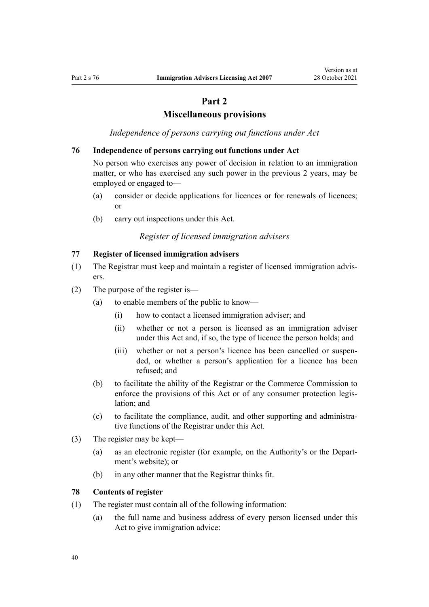# **Part 2**

# **Miscellaneous provisions**

*Independence of persons carrying out functions under Act*

#### <span id="page-39-0"></span>**76 Independence of persons carrying out functions under Act**

No person who exercises any power of decision in relation to an immigration matter, or who has exercised any such power in the previous 2 years, may be employed or engaged to—

- (a) consider or decide applications for licences or for renewals of licences; or
- (b) carry out inspections under this Act.

## *Register of licensed immigration advisers*

#### **77 Register of licensed immigration advisers**

- (1) The Registrar must keep and maintain a register of licensed immigration advis‐ ers.
- (2) The purpose of the register is—
	- (a) to enable members of the public to know—
		- (i) how to contact a licensed immigration adviser; and
		- (ii) whether or not a person is licensed as an immigration adviser under this Act and, if so, the type of licence the person holds; and
		- (iii) whether or not a person's licence has been cancelled or suspended, or whether a person's application for a licence has been refused; and
	- (b) to facilitate the ability of the Registrar or the Commerce Commission to enforce the provisions of this Act or of any consumer protection legislation; and
	- (c) to facilitate the compliance, audit, and other supporting and administra‐ tive functions of the Registrar under this Act.
- (3) The register may be kept—
	- (a) as an electronic register (for example, on the Authority's or the Depart‐ ment's website); or
	- (b) in any other manner that the Registrar thinks fit.

#### **78 Contents of register**

- (1) The register must contain all of the following information:
	- (a) the full name and business address of every person licensed under this Act to give immigration advice: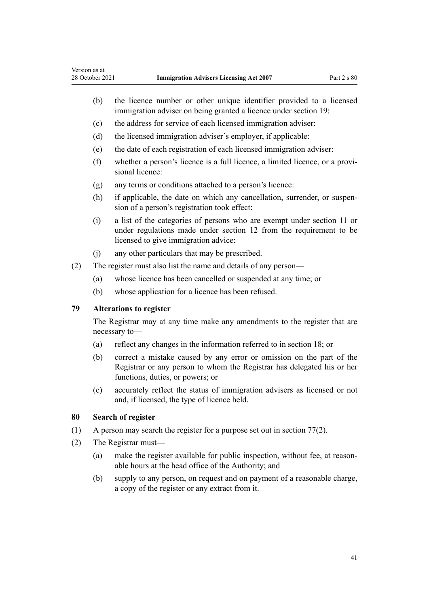- <span id="page-40-0"></span>(b) the licence number or other unique identifier provided to a licensed immigration adviser on being granted a licence under [section 19:](#page-13-0)
- (c) the address for service of each licensed immigration adviser:
- (d) the licensed immigration adviser's employer, if applicable:
- (e) the date of each registration of each licensed immigration adviser:
- (f) whether a person's licence is a full licence, a limited licence, or a provi‐ sional licence:
- (g) any terms or conditions attached to a person's licence:
- (h) if applicable, the date on which any cancellation, surrender, or suspension of a person's registration took effect:
- (i) a list of the categories of persons who are exempt under [section 11](#page-8-0) or under regulations made under [section 12](#page-9-0) from the requirement to be licensed to give immigration advice:
- (j) any other particulars that may be prescribed.
- (2) The register must also list the name and details of any person—
	- (a) whose licence has been cancelled or suspended at any time; or
	- (b) whose application for a licence has been refused.

# **79 Alterations to register**

The Registrar may at any time make any amendments to the register that are necessary to—

- (a) reflect any changes in the information referred to in [section 18;](#page-13-0) or
- (b) correct a mistake caused by any error or omission on the part of the Registrar or any person to whom the Registrar has delegated his or her functions, duties, or powers; or
- (c) accurately reflect the status of immigration advisers as licensed or not and, if licensed, the type of licence held.

#### **80 Search of register**

- (1) A person may search the register for a purpose set out in [section 77\(2\)](#page-39-0).
- (2) The Registrar must—
	- (a) make the register available for public inspection, without fee, at reasonable hours at the head office of the Authority; and
	- (b) supply to any person, on request and on payment of a reasonable charge, a copy of the register or any extract from it.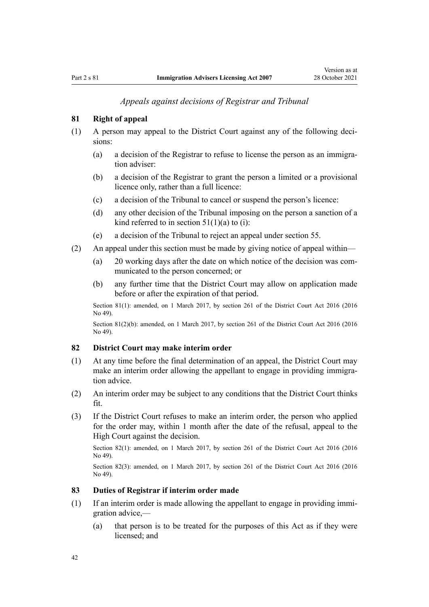#### *Appeals against decisions of Registrar and Tribunal*

# <span id="page-41-0"></span>**81 Right of appeal**

- (1) A person may appeal to the District Court against any of the following deci‐ sions:
	- (a) a decision of the Registrar to refuse to license the person as an immigration adviser:
	- (b) a decision of the Registrar to grant the person a limited or a provisional licence only, rather than a full licence:
	- (c) a decision of the Tribunal to cancel or suspend the person's licence:
	- (d) any other decision of the Tribunal imposing on the person a sanction of a kind referred to in section  $51(1)(a)$  to (i):
	- (e) a decision of the Tribunal to reject an appeal under [section 55.](#page-29-0)
- (2) An appeal under this section must be made by giving notice of appeal within—
	- (a) 20 working days after the date on which notice of the decision was communicated to the person concerned; or
	- (b) any further time that the District Court may allow on application made before or after the expiration of that period.

Section 81(1): amended, on 1 March 2017, by [section 261](http://legislation.govt.nz/pdflink.aspx?id=DLM6942680) of the District Court Act 2016 (2016) No 49).

Section 81(2)(b): amended, on 1 March 2017, by [section 261](http://legislation.govt.nz/pdflink.aspx?id=DLM6942680) of the District Court Act 2016 (2016 No 49).

#### **82 District Court may make interim order**

- (1) At any time before the final determination of an appeal, the District Court may make an interim order allowing the appellant to engage in providing immigration advice.
- (2) An interim order may be subject to any conditions that the District Court thinks fit.
- (3) If the District Court refuses to make an interim order, the person who applied for the order may, within 1 month after the date of the refusal, appeal to the High Court against the decision.

Section 82(1): amended, on 1 March 2017, by [section 261](http://legislation.govt.nz/pdflink.aspx?id=DLM6942680) of the District Court Act 2016 (2016 No 49).

Section 82(3): amended, on 1 March 2017, by [section 261](http://legislation.govt.nz/pdflink.aspx?id=DLM6942680) of the District Court Act 2016 (2016 No 49).

# **83 Duties of Registrar if interim order made**

- $(1)$  If an interim order is made allowing the appellant to engage in providing immigration advice,—
	- (a) that person is to be treated for the purposes of this Act as if they were licensed; and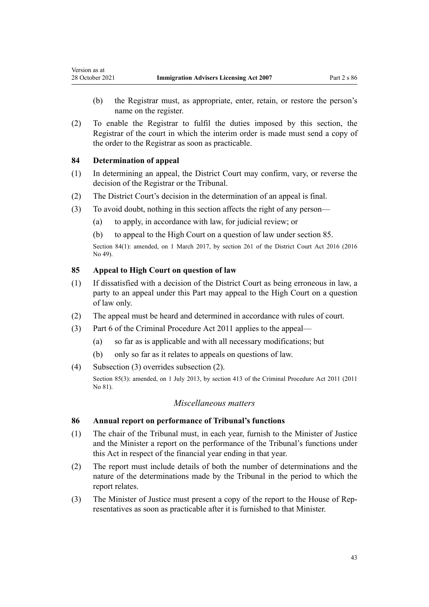- (b) the Registrar must, as appropriate, enter, retain, or restore the person's name on the register.
- (2) To enable the Registrar to fulfil the duties imposed by this section, the Registrar of the court in which the interim order is made must send a copy of the order to the Registrar as soon as practicable.

#### **84 Determination of appeal**

<span id="page-42-0"></span>Version as at

- (1) In determining an appeal, the District Court may confirm, vary, or reverse the decision of the Registrar or the Tribunal.
- (2) The District Court's decision in the determination of an appeal is final.
- (3) To avoid doubt, nothing in this section affects the right of any person—
	- (a) to apply, in accordance with law, for judicial review; or
	- (b) to appeal to the High Court on a question of law under section 85.

Section 84(1): amended, on 1 March 2017, by [section 261](http://legislation.govt.nz/pdflink.aspx?id=DLM6942680) of the District Court Act 2016 (2016 No 49).

#### **85 Appeal to High Court on question of law**

- (1) If dissatisfied with a decision of the District Court as being erroneous in law, a party to an appeal under this Part may appeal to the High Court on a question of law only.
- (2) The appeal must be heard and determined in accordance with rules of court.
- (3) [Part 6](http://legislation.govt.nz/pdflink.aspx?id=DLM3360366) of the Criminal Procedure Act 2011 applies to the appeal—
	- (a) so far as is applicable and with all necessary modifications; but
	- (b) only so far as it relates to appeals on questions of law.
- (4) Subsection (3) overrides subsection (2).

Section 85(3): amended, on 1 July 2013, by [section 413](http://legislation.govt.nz/pdflink.aspx?id=DLM3360714) of the Criminal Procedure Act 2011 (2011 No 81).

#### *Miscellaneous matters*

#### **86 Annual report on performance of Tribunal's functions**

- (1) The chair of the Tribunal must, in each year, furnish to the Minister of Justice and the Minister a report on the performance of the Tribunal's functions under this Act in respect of the financial year ending in that year.
- (2) The report must include details of both the number of determinations and the nature of the determinations made by the Tribunal in the period to which the report relates.
- (3) The Minister of Justice must present a copy of the report to the House of Rep‐ resentatives as soon as practicable after it is furnished to that Minister.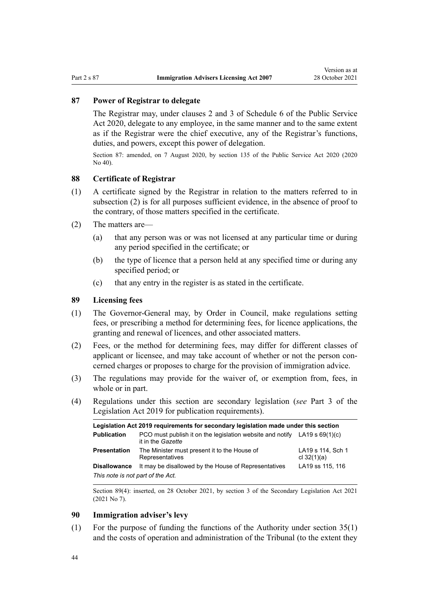# <span id="page-43-0"></span>**87 Power of Registrar to delegate**

The Registrar may, under [clauses 2](http://legislation.govt.nz/pdflink.aspx?id=LMS356992) and [3](http://legislation.govt.nz/pdflink.aspx?id=LMS247061) of Schedule 6 of the Public Service Act 2020, delegate to any employee, in the same manner and to the same extent as if the Registrar were the chief executive, any of the Registrar's functions, duties, and powers, except this power of delegation.

Section 87: amended, on 7 August 2020, by [section 135](http://legislation.govt.nz/pdflink.aspx?id=LMS176959) of the Public Service Act 2020 (2020 No 40).

#### **88 Certificate of Registrar**

- (1) A certificate signed by the Registrar in relation to the matters referred to in subsection (2) is for all purposes sufficient evidence, in the absence of proof to the contrary, of those matters specified in the certificate.
- (2) The matters are—
	- (a) that any person was or was not licensed at any particular time or during any period specified in the certificate; or
	- (b) the type of licence that a person held at any specified time or during any specified period; or
	- (c) that any entry in the register is as stated in the certificate.

#### **89 Licensing fees**

- (1) The Governor-General may, by Order in Council, make regulations setting fees, or prescribing a method for determining fees, for licence applications, the granting and renewal of licences, and other associated matters.
- (2) Fees, or the method for determining fees, may differ for different classes of applicant or licensee, and may take account of whether or not the person concerned charges or proposes to charge for the provision of immigration advice.
- (3) The regulations may provide for the waiver of, or exemption from, fees, in whole or in part.
- (4) Regulations under this section are secondary legislation (*see* [Part 3](http://legislation.govt.nz/pdflink.aspx?id=DLM7298343) of the Legislation Act 2019 for publication requirements).

| Legislation Act 2019 requirements for secondary legislation made under this section |                                                                                                  |                                    |
|-------------------------------------------------------------------------------------|--------------------------------------------------------------------------------------------------|------------------------------------|
| <b>Publication</b>                                                                  | PCO must publish it on the legislation website and notify LA19 s $69(1)(c)$<br>it in the Gazette |                                    |
| <b>Presentation</b>                                                                 | The Minister must present it to the House of<br>Representatives                                  | LA19 s 114, Sch 1<br>cl $32(1)(a)$ |
| <b>Disallowance</b>                                                                 | It may be disallowed by the House of Representatives                                             | LA19 ss 115, 116                   |
| This note is not part of the Act.                                                   |                                                                                                  |                                    |

Section 89(4): inserted, on 28 October 2021, by [section 3](http://legislation.govt.nz/pdflink.aspx?id=LMS268932) of the Secondary Legislation Act 2021 (2021 No 7).

### **90 Immigration adviser's levy**

(1) For the purpose of funding the functions of the Authority under [section 35\(1\)](#page-18-0) and the costs of operation and administration of the Tribunal (to the extent they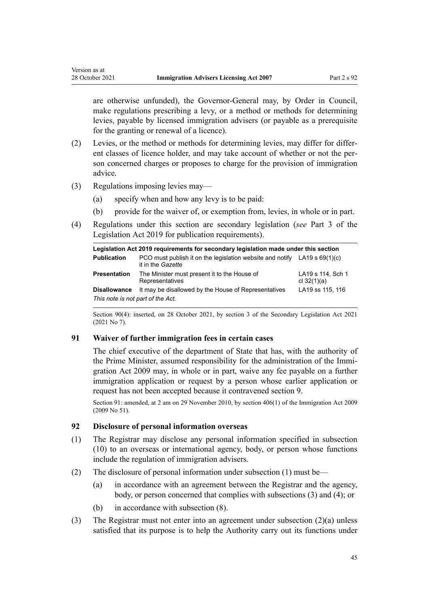are otherwise unfunded), the Governor-General may, by Order in Council, make regulations prescribing a levy, or a method or methods for determining levies, payable by licensed immigration advisers (or payable as a prerequisite for the granting or renewal of a licence).

- (2) Levies, or the method or methods for determining levies, may differ for differ‐ ent classes of licence holder, and may take account of whether or not the person concerned charges or proposes to charge for the provision of immigration advice.
- (3) Regulations imposing levies may—

<span id="page-44-0"></span>Version as at

- (a) specify when and how any levy is to be paid:
- (b) provide for the waiver of, or exemption from, levies, in whole or in part.
- (4) Regulations under this section are secondary legislation (*see* [Part 3](http://legislation.govt.nz/pdflink.aspx?id=DLM7298343) of the Legislation Act 2019 for publication requirements).

| Legislation Act 2019 reguirements for secondary legislation made under this section |                                                                                                  |                                    |
|-------------------------------------------------------------------------------------|--------------------------------------------------------------------------------------------------|------------------------------------|
| <b>Publication</b>                                                                  | PCO must publish it on the legislation website and notify LA19 s $69(1)(c)$<br>it in the Gazette |                                    |
| Presentation                                                                        | The Minister must present it to the House of<br>Representatives                                  | LA19 s 114, Sch 1<br>cl $32(1)(a)$ |
| <b>Disallowance</b>                                                                 | It may be disallowed by the House of Representatives                                             | LA19 ss 115, 116                   |
| This note is not part of the Act.                                                   |                                                                                                  |                                    |

Section 90(4): inserted, on 28 October 2021, by [section 3](http://legislation.govt.nz/pdflink.aspx?id=LMS268932) of the Secondary Legislation Act 2021 (2021 No 7).

#### **91 Waiver of further immigration fees in certain cases**

The chief executive of the department of State that has, with the authority of the Prime Minister, assumed responsibility for the administration of the Immi[gration Act 2009](http://legislation.govt.nz/pdflink.aspx?id=DLM1440300) may, in whole or in part, waive any fee payable on a further immigration application or request by a person whose earlier application or request has not been accepted because it contravened [section 9.](#page-8-0)

Section 91: amended, at 2 am on 29 November 2010, by [section 406\(1\)](http://legislation.govt.nz/pdflink.aspx?id=DLM1441347) of the Immigration Act 2009 (2009 No 51).

#### **92 Disclosure of personal information overseas**

- (1) The Registrar may disclose any personal information specified in subsection (10) to an overseas or international agency, body, or person whose functions include the regulation of immigration advisers.
- (2) The disclosure of personal information under subsection (1) must be—
	- (a) in accordance with an agreement between the Registrar and the agency, body, or person concerned that complies with subsections (3) and (4); or
	- (b) in accordance with subsection (8).
- (3) The Registrar must not enter into an agreement under subsection (2)(a) unless satisfied that its purpose is to help the Authority carry out its functions under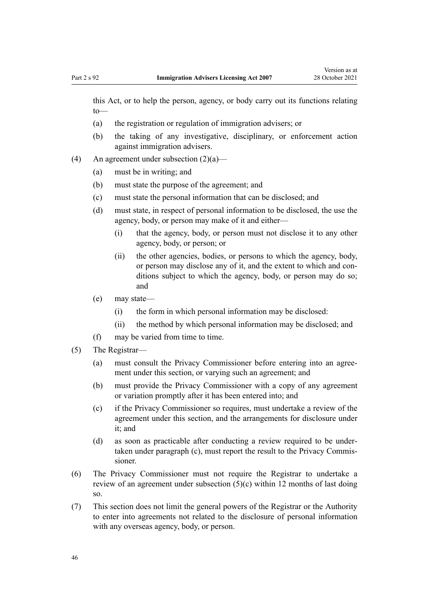this Act, or to help the person, agency, or body carry out its functions relating to—

- (a) the registration or regulation of immigration advisers; or
- (b) the taking of any investigative, disciplinary, or enforcement action against immigration advisers.
- (4) An agreement under subsection  $(2)(a)$ 
	- (a) must be in writing; and
	- (b) must state the purpose of the agreement; and
	- (c) must state the personal information that can be disclosed; and
	- (d) must state, in respect of personal information to be disclosed, the use the agency, body, or person may make of it and either—
		- (i) that the agency, body, or person must not disclose it to any other agency, body, or person; or
		- (ii) the other agencies, bodies, or persons to which the agency, body, or person may disclose any of it, and the extent to which and con‐ ditions subject to which the agency, body, or person may do so; and
	- (e) may state—
		- (i) the form in which personal information may be disclosed:
		- (ii) the method by which personal information may be disclosed; and
	- (f) may be varied from time to time.
- (5) The Registrar—
	- (a) must consult the Privacy Commissioner before entering into an agreement under this section, or varying such an agreement; and
	- (b) must provide the Privacy Commissioner with a copy of any agreement or variation promptly after it has been entered into; and
	- (c) if the Privacy Commissioner so requires, must undertake a review of the agreement under this section, and the arrangements for disclosure under it; and
	- (d) as soon as practicable after conducting a review required to be under‐ taken under paragraph (c), must report the result to the Privacy Commissioner.
- (6) The Privacy Commissioner must not require the Registrar to undertake a review of an agreement under subsection (5)(c) within 12 months of last doing so.
- (7) This section does not limit the general powers of the Registrar or the Authority to enter into agreements not related to the disclosure of personal information with any overseas agency, body, or person.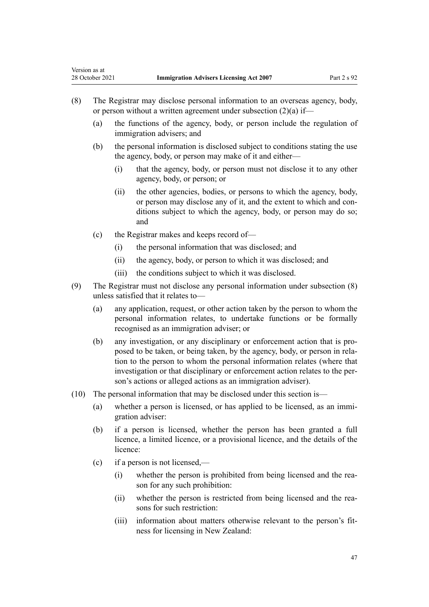- (8) The Registrar may disclose personal information to an overseas agency, body, or person without a written agreement under subsection (2)(a) if—
	- (a) the functions of the agency, body, or person include the regulation of immigration advisers; and
	- (b) the personal information is disclosed subject to conditions stating the use the agency, body, or person may make of it and either—
		- (i) that the agency, body, or person must not disclose it to any other agency, body, or person; or
		- (ii) the other agencies, bodies, or persons to which the agency, body, or person may disclose any of it, and the extent to which and con‐ ditions subject to which the agency, body, or person may do so; and
	- (c) the Registrar makes and keeps record of—
		- (i) the personal information that was disclosed; and
		- (ii) the agency, body, or person to which it was disclosed; and
		- (iii) the conditions subject to which it was disclosed.
- (9) The Registrar must not disclose any personal information under subsection (8) unless satisfied that it relates to—
	- (a) any application, request, or other action taken by the person to whom the personal information relates, to undertake functions or be formally recognised as an immigration adviser; or
	- (b) any investigation, or any disciplinary or enforcement action that is pro‐ posed to be taken, or being taken, by the agency, body, or person in rela‐ tion to the person to whom the personal information relates (where that investigation or that disciplinary or enforcement action relates to the person's actions or alleged actions as an immigration adviser).
- (10) The personal information that may be disclosed under this section is—
	- (a) whether a person is licensed, or has applied to be licensed, as an immi‐ gration adviser:
	- (b) if a person is licensed, whether the person has been granted a full licence, a limited licence, or a provisional licence, and the details of the licence:
	- (c) if a person is not licensed,—
		- (i) whether the person is prohibited from being licensed and the rea‐ son for any such prohibition:
		- (ii) whether the person is restricted from being licensed and the reasons for such restriction:
		- (iii) information about matters otherwise relevant to the person's fitness for licensing in New Zealand: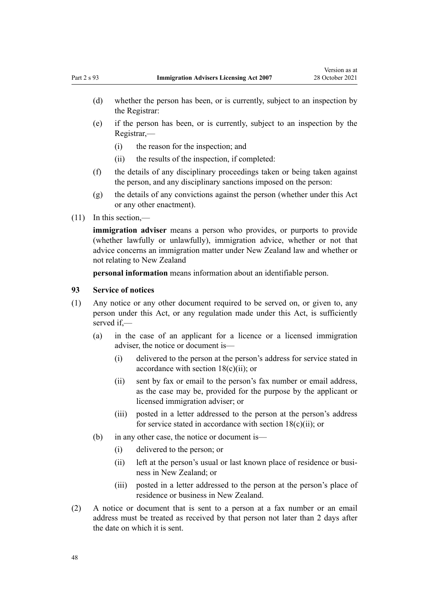- <span id="page-47-0"></span>(d) whether the person has been, or is currently, subject to an inspection by the Registrar:
- (e) if the person has been, or is currently, subject to an inspection by the Registrar,—
	- (i) the reason for the inspection; and
	- (ii) the results of the inspection, if completed:
- (f) the details of any disciplinary proceedings taken or being taken against the person, and any disciplinary sanctions imposed on the person:
- (g) the details of any convictions against the person (whether under this Act or any other enactment).
- (11) In this section,—

**immigration adviser** means a person who provides, or purports to provide (whether lawfully or unlawfully), immigration advice, whether or not that advice concerns an immigration matter under New Zealand law and whether or not relating to New Zealand

**personal information** means information about an identifiable person.

#### **93 Service of notices**

- (1) Any notice or any other document required to be served on, or given to, any person under this Act, or any regulation made under this Act, is sufficiently served if,—
	- (a) in the case of an applicant for a licence or a licensed immigration adviser, the notice or document is—
		- (i) delivered to the person at the person's address for service stated in accordance with section  $18(c)(ii)$ ; or
		- (ii) sent by fax or email to the person's fax number or email address, as the case may be, provided for the purpose by the applicant or licensed immigration adviser; or
		- (iii) posted in a letter addressed to the person at the person's address for service stated in accordance with [section 18\(c\)\(ii\)](#page-13-0); or
	- (b) in any other case, the notice or document is—
		- (i) delivered to the person; or
		- (ii) left at the person's usual or last known place of residence or business in New Zealand; or
		- (iii) posted in a letter addressed to the person at the person's place of residence or business in New Zealand.
- (2) A notice or document that is sent to a person at a fax number or an email address must be treated as received by that person not later than 2 days after the date on which it is sent.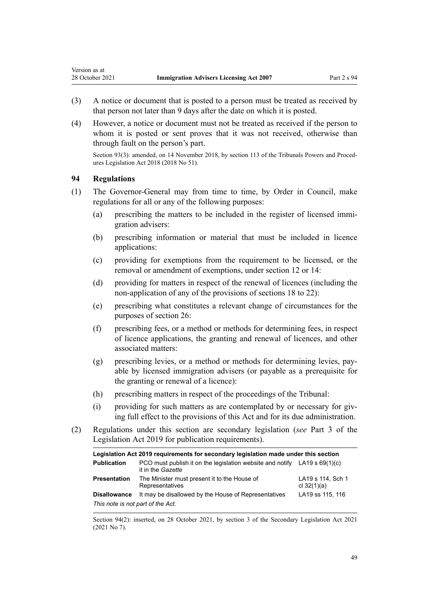- (3) A notice or document that is posted to a person must be treated as received by that person not later than 9 days after the date on which it is posted.
- (4) However, a notice or document must not be treated as received if the person to whom it is posted or sent proves that it was not received, otherwise than through fault on the person's part.

Section 93(3): amended, on 14 November 2018, by [section 113](http://legislation.govt.nz/pdflink.aspx?id=DLM7374330) of the Tribunals Powers and Procedures Legislation Act 2018 (2018 No 51).

#### **94 Regulations**

<span id="page-48-0"></span>Version as at

- (1) The Governor-General may from time to time, by Order in Council, make regulations for all or any of the following purposes:
	- (a) prescribing the matters to be included in the register of licensed immigration advisers:
	- (b) prescribing information or material that must be included in licence applications:
	- (c) providing for exemptions from the requirement to be licensed, or the removal or amendment of exemptions, under [section 12](#page-9-0) or [14:](#page-11-0)
	- (d) providing for matters in respect of the renewal of licences (including the non-application of any of the provisions of [sections 18 to 22](#page-13-0)):
	- (e) prescribing what constitutes a relevant change of circumstances for the purposes of [section 26](#page-16-0):
	- (f) prescribing fees, or a method or methods for determining fees, in respect of licence applications, the granting and renewal of licences, and other associated matters:
	- (g) prescribing levies, or a method or methods for determining levies, pay‐ able by licensed immigration advisers (or payable as a prerequisite for the granting or renewal of a licence):
	- (h) prescribing matters in respect of the proceedings of the Tribunal:
	- (i) providing for such matters as are contemplated by or necessary for giving full effect to the provisions of this Act and for its due administration.
- (2) Regulations under this section are secondary legislation (*see* [Part 3](http://legislation.govt.nz/pdflink.aspx?id=DLM7298343) of the Legislation Act 2019 for publication requirements).

| Legislation Act 2019 requirements for secondary legislation made under this section |                                                                                                  |                                    |
|-------------------------------------------------------------------------------------|--------------------------------------------------------------------------------------------------|------------------------------------|
| <b>Publication</b>                                                                  | PCO must publish it on the legislation website and notify LA19 s $69(1)(c)$<br>it in the Gazette |                                    |
| <b>Presentation</b>                                                                 | The Minister must present it to the House of<br>Representatives                                  | LA19 s 114, Sch 1<br>cl $32(1)(a)$ |
| <b>Disallowance</b>                                                                 | It may be disallowed by the House of Representatives                                             | LA19 ss 115, 116                   |
| This note is not part of the Act.                                                   |                                                                                                  |                                    |

Section 94(2): inserted, on 28 October 2021, by [section 3](http://legislation.govt.nz/pdflink.aspx?id=LMS268932) of the Secondary Legislation Act 2021 (2021 No 7).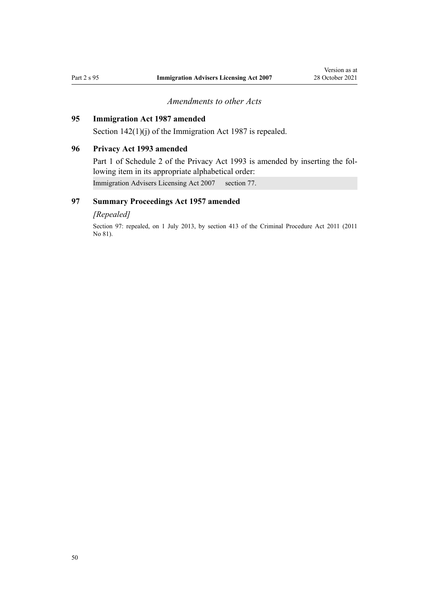# *Amendments to other Acts*

# <span id="page-49-0"></span>**95 Immigration Act 1987 amended**

[Section 142\(1\)\(j\)](http://legislation.govt.nz/pdflink.aspx?id=DLM114024) of the Immigration Act 1987 is repealed.

# **96 Privacy Act 1993 amended**

[Part 1](http://legislation.govt.nz/pdflink.aspx?id=DLM298477) of Schedule 2 of the Privacy Act 1993 is amended by inserting the following item in its appropriate alphabetical order:

Immigration Advisers Licensing Act 2007 section 77.

# **97 Summary Proceedings Act 1957 amended**

#### *[Repealed]*

Section 97: repealed, on 1 July 2013, by [section 413](http://legislation.govt.nz/pdflink.aspx?id=DLM3360714) of the Criminal Procedure Act 2011 (2011 No 81).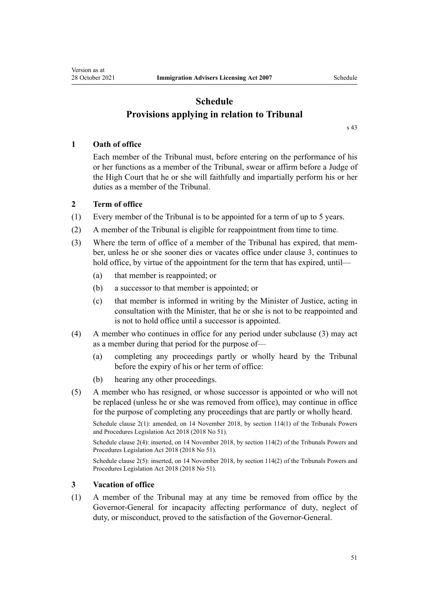# **Schedule Provisions applying in relation to Tribunal**

[s 43](#page-23-0)

# <span id="page-50-0"></span>**1 Oath of office**

Each member of the Tribunal must, before entering on the performance of his or her functions as a member of the Tribunal, swear or affirm before a Judge of the High Court that he or she will faithfully and impartially perform his or her duties as a member of the Tribunal.

#### **2 Term of office**

- (1) Every member of the Tribunal is to be appointed for a term of up to 5 years.
- (2) A member of the Tribunal is eligible for reappointment from time to time.
- (3) Where the term of office of a member of the Tribunal has expired, that member, unless he or she sooner dies or vacates office under clause 3, continues to hold office, by virtue of the appointment for the term that has expired, until—
	- (a) that member is reappointed; or
	- (b) a successor to that member is appointed; or
	- (c) that member is informed in writing by the Minister of Justice, acting in consultation with the Minister, that he or she is not to be reappointed and is not to hold office until a successor is appointed.
- (4) A member who continues in office for any period under subclause (3) may act as a member during that period for the purpose of—
	- (a) completing any proceedings partly or wholly heard by the Tribunal before the expiry of his or her term of office:
	- (b) hearing any other proceedings.
- (5) A member who has resigned, or whose successor is appointed or who will not be replaced (unless he or she was removed from office), may continue in office for the purpose of completing any proceedings that are partly or wholly heard.

Schedule clause 2(1): amended, on 14 November 2018, by [section 114\(1\)](http://legislation.govt.nz/pdflink.aspx?id=DLM7374331) of the Tribunals Powers and Procedures Legislation Act 2018 (2018 No 51).

Schedule clause 2(4): inserted, on 14 November 2018, by [section 114\(2\)](http://legislation.govt.nz/pdflink.aspx?id=DLM7374331) of the Tribunals Powers and Procedures Legislation Act 2018 (2018 No 51).

Schedule clause 2(5): inserted, on 14 November 2018, by [section 114\(2\)](http://legislation.govt.nz/pdflink.aspx?id=DLM7374331) of the Tribunals Powers and Procedures Legislation Act 2018 (2018 No 51).

#### **3 Vacation of office**

(1) A member of the Tribunal may at any time be removed from office by the Governor-General for incapacity affecting performance of duty, neglect of duty, or misconduct, proved to the satisfaction of the Governor-General.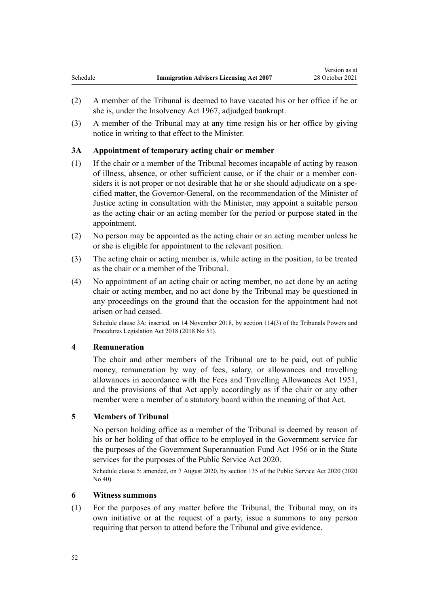- <span id="page-51-0"></span>(2) A member of the Tribunal is deemed to have vacated his or her office if he or she is, under the [Insolvency Act 1967,](http://legislation.govt.nz/pdflink.aspx?id=DLM382333) adjudged bankrupt.
- (3) A member of the Tribunal may at any time resign his or her office by giving notice in writing to that effect to the Minister.

#### **3A Appointment of temporary acting chair or member**

- (1) If the chair or a member of the Tribunal becomes incapable of acting by reason of illness, absence, or other sufficient cause, or if the chair or a member con‐ siders it is not proper or not desirable that he or she should adjudicate on a specified matter, the Governor-General, on the recommendation of the Minister of Justice acting in consultation with the Minister, may appoint a suitable person as the acting chair or an acting member for the period or purpose stated in the appointment.
- (2) No person may be appointed as the acting chair or an acting member unless he or she is eligible for appointment to the relevant position.
- (3) The acting chair or acting member is, while acting in the position, to be treated as the chair or a member of the Tribunal.
- (4) No appointment of an acting chair or acting member, no act done by an acting chair or acting member, and no act done by the Tribunal may be questioned in any proceedings on the ground that the occasion for the appointment had not arisen or had ceased.

Schedule clause 3A: inserted, on 14 November 2018, by [section 114\(3\)](http://legislation.govt.nz/pdflink.aspx?id=DLM7374331) of the Tribunals Powers and Procedures Legislation Act 2018 (2018 No 51).

#### **4 Remuneration**

The chair and other members of the Tribunal are to be paid, out of public money, remuneration by way of fees, salary, or allowances and travelling allowances in accordance with the [Fees and Travelling Allowances Act 1951](http://legislation.govt.nz/pdflink.aspx?id=DLM264952), and the provisions of that Act apply accordingly as if the chair or any other member were a member of a statutory board within the meaning of that Act.

#### **5 Members of Tribunal**

No person holding office as a member of the Tribunal is deemed by reason of his or her holding of that office to be employed in the Government service for the purposes of the [Government Superannuation Fund Act 1956](http://legislation.govt.nz/pdflink.aspx?id=DLM446000) or in the State services for the purposes of the [Public Service Act 2020.](http://legislation.govt.nz/pdflink.aspx?id=LMS106157)

Schedule clause 5: amended, on 7 August 2020, by [section 135](http://legislation.govt.nz/pdflink.aspx?id=LMS176959) of the Public Service Act 2020 (2020 No 40).

# **6 Witness summons**

(1) For the purposes of any matter before the Tribunal, the Tribunal may, on its own initiative or at the request of a party, issue a summons to any person requiring that person to attend before the Tribunal and give evidence.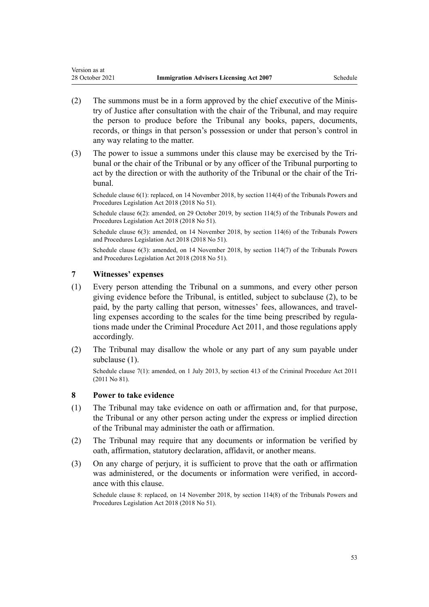- (2) The summons must be in a form approved by the chief executive of the Minis‐ try of Justice after consultation with the chair of the Tribunal, and may require the person to produce before the Tribunal any books, papers, documents, records, or things in that person's possession or under that person's control in any way relating to the matter.
- (3) The power to issue a summons under this clause may be exercised by the Tri‐ bunal or the chair of the Tribunal or by any officer of the Tribunal purporting to act by the direction or with the authority of the Tribunal or the chair of the Tribunal.

Schedule clause 6(1): replaced, on 14 November 2018, by [section 114\(4\)](http://legislation.govt.nz/pdflink.aspx?id=DLM7374331) of the Tribunals Powers and Procedures Legislation Act 2018 (2018 No 51).

Schedule clause 6(2): amended, on 29 October 2019, by [section 114\(5\)](http://legislation.govt.nz/pdflink.aspx?id=DLM7374331) of the Tribunals Powers and Procedures Legislation Act 2018 (2018 No 51).

Schedule clause 6(3): amended, on 14 November 2018, by [section 114\(6\)](http://legislation.govt.nz/pdflink.aspx?id=DLM7374331) of the Tribunals Powers and Procedures Legislation Act 2018 (2018 No 51).

Schedule clause 6(3): amended, on 14 November 2018, by [section 114\(7\)](http://legislation.govt.nz/pdflink.aspx?id=DLM7374331) of the Tribunals Powers and Procedures Legislation Act 2018 (2018 No 51).

#### **7 Witnesses' expenses**

<span id="page-52-0"></span>Version as at

- (1) Every person attending the Tribunal on a summons, and every other person giving evidence before the Tribunal, is entitled, subject to subclause (2), to be paid, by the party calling that person, witnesses' fees, allowances, and travelling expenses according to the scales for the time being prescribed by regulations made under the [Criminal Procedure Act 2011,](http://legislation.govt.nz/pdflink.aspx?id=DLM3359902) and those regulations apply accordingly.
- (2) The Tribunal may disallow the whole or any part of any sum payable under subclause (1).

Schedule clause 7(1): amended, on 1 July 2013, by [section 413](http://legislation.govt.nz/pdflink.aspx?id=DLM3360714) of the Criminal Procedure Act 2011 (2011 No 81).

#### **8 Power to take evidence**

- (1) The Tribunal may take evidence on oath or affirmation and, for that purpose, the Tribunal or any other person acting under the express or implied direction of the Tribunal may administer the oath or affirmation.
- (2) The Tribunal may require that any documents or information be verified by oath, affirmation, statutory declaration, affidavit, or another means.
- (3) On any charge of perjury, it is sufficient to prove that the oath or affirmation was administered, or the documents or information were verified, in accordance with this clause.

Schedule clause 8: replaced, on 14 November 2018, by [section 114\(8\)](http://legislation.govt.nz/pdflink.aspx?id=DLM7374331) of the Tribunals Powers and Procedures Legislation Act 2018 (2018 No 51).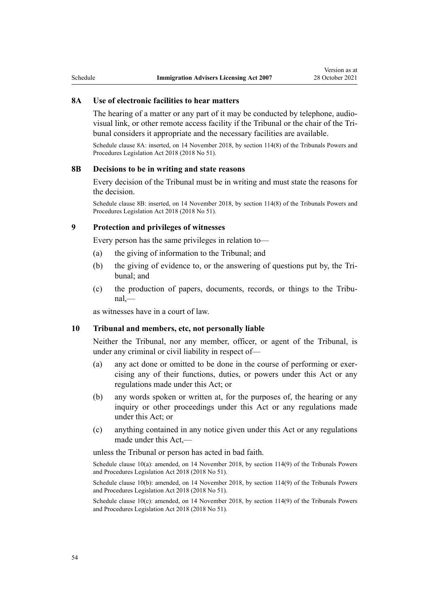#### **8A Use of electronic facilities to hear matters**

The hearing of a matter or any part of it may be conducted by telephone, audiovisual link, or other remote access facility if the Tribunal or the chair of the Tri‐ bunal considers it appropriate and the necessary facilities are available.

Schedule clause 8A: inserted, on 14 November 2018, by [section 114\(8\)](http://legislation.govt.nz/pdflink.aspx?id=DLM7374331) of the Tribunals Powers and Procedures Legislation Act 2018 (2018 No 51).

#### **8B Decisions to be in writing and state reasons**

Every decision of the Tribunal must be in writing and must state the reasons for the decision.

Schedule clause 8B: inserted, on 14 November 2018, by [section 114\(8\)](http://legislation.govt.nz/pdflink.aspx?id=DLM7374331) of the Tribunals Powers and Procedures Legislation Act 2018 (2018 No 51).

#### **9 Protection and privileges of witnesses**

Every person has the same privileges in relation to—

- (a) the giving of information to the Tribunal; and
- (b) the giving of evidence to, or the answering of questions put by, the Tribunal; and
- (c) the production of papers, documents, records, or things to the Tribu‐ nal,—

as witnesses have in a court of law.

#### **10 Tribunal and members, etc, not personally liable**

Neither the Tribunal, nor any member, officer, or agent of the Tribunal, is under any criminal or civil liability in respect of—

- (a) any act done or omitted to be done in the course of performing or exer‐ cising any of their functions, duties, or powers under this Act or any regulations made under this Act; or
- (b) any words spoken or written at, for the purposes of, the hearing or any inquiry or other proceedings under this Act or any regulations made under this Act; or
- (c) anything contained in any notice given under this Act or any regulations made under this Act,—

unless the Tribunal or person has acted in bad faith.

Schedule clause 10(a): amended, on 14 November 2018, by [section 114\(9\)](http://legislation.govt.nz/pdflink.aspx?id=DLM7374331) of the Tribunals Powers and Procedures Legislation Act 2018 (2018 No 51).

Schedule clause 10(b): amended, on 14 November 2018, by [section 114\(9\)](http://legislation.govt.nz/pdflink.aspx?id=DLM7374331) of the Tribunals Powers and Procedures Legislation Act 2018 (2018 No 51).

Schedule clause  $10(c)$ : amended, on 14 November 2018, by [section 114\(9\)](http://legislation.govt.nz/pdflink.aspx?id=DLM7374331) of the Tribunals Powers and Procedures Legislation Act 2018 (2018 No 51).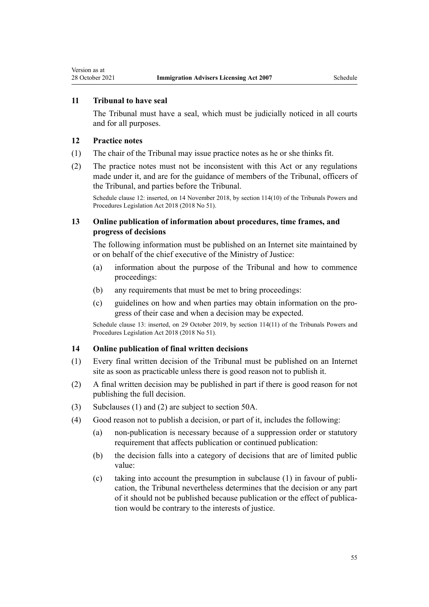#### **11 Tribunal to have seal**

The Tribunal must have a seal, which must be judicially noticed in all courts and for all purposes.

#### **12 Practice notes**

<span id="page-54-0"></span>Version as at

- (1) The chair of the Tribunal may issue practice notes as he or she thinks fit.
- (2) The practice notes must not be inconsistent with this Act or any regulations made under it, and are for the guidance of members of the Tribunal, officers of the Tribunal, and parties before the Tribunal.

Schedule clause 12: inserted, on 14 November 2018, by [section 114\(10\)](http://legislation.govt.nz/pdflink.aspx?id=DLM7374331) of the Tribunals Powers and Procedures Legislation Act 2018 (2018 No 51).

# **13 Online publication of information about procedures, time frames, and progress of decisions**

The following information must be published on an Internet site maintained by or on behalf of the chief executive of the Ministry of Justice:

- (a) information about the purpose of the Tribunal and how to commence proceedings:
- (b) any requirements that must be met to bring proceedings:
- (c) guidelines on how and when parties may obtain information on the pro‐ gress of their case and when a decision may be expected.

Schedule clause 13: inserted, on 29 October 2019, by [section 114\(11\)](http://legislation.govt.nz/pdflink.aspx?id=DLM7374331) of the Tribunals Powers and Procedures Legislation Act 2018 (2018 No 51).

#### **14 Online publication of final written decisions**

- (1) Every final written decision of the Tribunal must be published on an Internet site as soon as practicable unless there is good reason not to publish it.
- (2) A final written decision may be published in part if there is good reason for not publishing the full decision.
- (3) Subclauses (1) and (2) are subject to [section 50A.](#page-26-0)
- (4) Good reason not to publish a decision, or part of it, includes the following:
	- (a) non-publication is necessary because of a suppression order or statutory requirement that affects publication or continued publication:
	- (b) the decision falls into a category of decisions that are of limited public value:
	- (c) taking into account the presumption in subclause (1) in favour of publi‐ cation, the Tribunal nevertheless determines that the decision or any part of it should not be published because publication or the effect of publica‐ tion would be contrary to the interests of justice.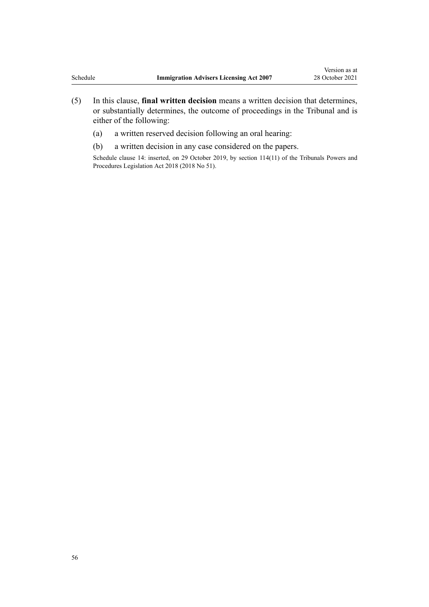- (5) In this clause, **final written decision** means a written decision that determines, or substantially determines, the outcome of proceedings in the Tribunal and is either of the following:
	- (a) a written reserved decision following an oral hearing:
	- (b) a written decision in any case considered on the papers.

Schedule clause 14: inserted, on 29 October 2019, by [section 114\(11\)](http://legislation.govt.nz/pdflink.aspx?id=DLM7374331) of the Tribunals Powers and Procedures Legislation Act 2018 (2018 No 51).